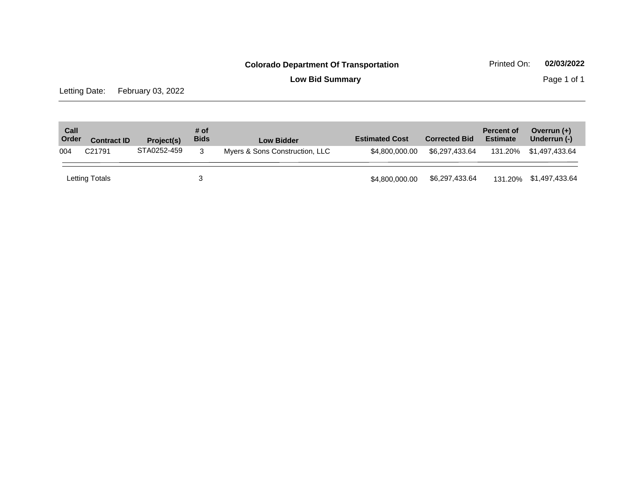**Low Bid Summary Page 1 of 1** 

Letting Date: February 03, 2022

| Call<br>Order | <b>Contract ID</b> | Project(s)  | # of<br><b>Bids</b> | <b>Low Bidder</b>              | <b>Estimated Cost</b> | <b>Corrected Bid</b> | <b>Percent of</b><br><b>Estimate</b> | Overrun $(+)$<br>Underrun (-) |
|---------------|--------------------|-------------|---------------------|--------------------------------|-----------------------|----------------------|--------------------------------------|-------------------------------|
| 004           | C <sub>21791</sub> | STA0252-459 | 3                   | Myers & Sons Construction, LLC | \$4,800,000,00        | \$6.297.433.64       | 131.20%                              | \$1.497.433.64                |
|               | Letting Totals     |             |                     |                                | \$4,800,000,00        | \$6,297,433.64       |                                      | 131.20% \$1,497,433.64        |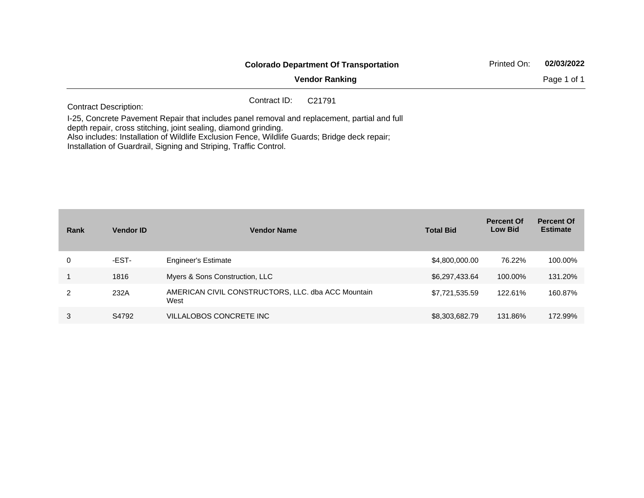|                                                                                                                                                                                                                                                                                                                                       | <b>Colorado Department Of Transportation</b> |                       |  |             |  |  |
|---------------------------------------------------------------------------------------------------------------------------------------------------------------------------------------------------------------------------------------------------------------------------------------------------------------------------------------|----------------------------------------------|-----------------------|--|-------------|--|--|
|                                                                                                                                                                                                                                                                                                                                       |                                              | <b>Vendor Ranking</b> |  | Page 1 of 1 |  |  |
| <b>Contract Description:</b>                                                                                                                                                                                                                                                                                                          | Contract ID:                                 | C <sub>21791</sub>    |  |             |  |  |
| I-25, Concrete Pavement Repair that includes panel removal and replacement, partial and full<br>depth repair, cross stitching, joint sealing, diamond grinding.<br>Also includes: Installation of Wildlife Exclusion Fence, Wildlife Guards; Bridge deck repair;<br>Installation of Guardrail, Signing and Striping, Traffic Control. |                                              |                       |  |             |  |  |

| Rank | <b>Vendor ID</b> | <b>Vendor Name</b>                                         | <b>Total Bid</b> | <b>Percent Of</b><br><b>Low Bid</b> | <b>Percent Of</b><br><b>Estimate</b> |
|------|------------------|------------------------------------------------------------|------------------|-------------------------------------|--------------------------------------|
| 0    | -EST-            | <b>Engineer's Estimate</b>                                 | \$4,800,000.00   | 76.22%                              | 100.00%                              |
|      | 1816             | Myers & Sons Construction, LLC                             | \$6,297,433.64   | 100.00%                             | 131.20%                              |
| 2    | 232A             | AMERICAN CIVIL CONSTRUCTORS, LLC. dba ACC Mountain<br>West | \$7,721,535.59   | 122.61%                             | 160.87%                              |
| 3    | S4792            | VILLALOBOS CONCRETE INC                                    | \$8,303,682.79   | 131.86%                             | 172.99%                              |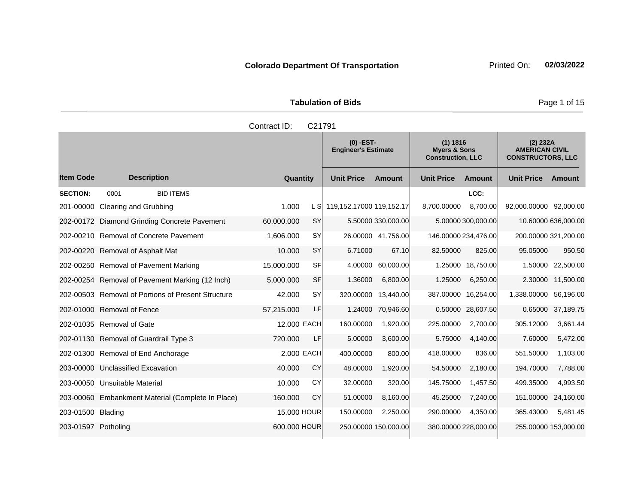| <b>Tabulation of Bids</b> |  |  |  |  |  |  |
|---------------------------|--|--|--|--|--|--|
| Contract ID: C21791       |  |  |  |  |  |  |

|                     |                                                   |              |           | $(0)$ -EST-<br><b>Engineer's Estimate</b> |                      | (1) 1816<br><b>Myers &amp; Sons</b><br><b>Construction, LLC</b> |                      | (2) 232A<br><b>AMERICAN CIVIL</b><br><b>CONSTRUCTORS, LLC</b> |                     |
|---------------------|---------------------------------------------------|--------------|-----------|-------------------------------------------|----------------------|-----------------------------------------------------------------|----------------------|---------------------------------------------------------------|---------------------|
| <b>Item Code</b>    | <b>Description</b>                                | Quantity     |           | <b>Unit Price</b>                         | Amount               | <b>Unit Price</b>                                               | Amount               | <b>Unit Price</b>                                             | <b>Amount</b>       |
| <b>SECTION:</b>     | <b>BID ITEMS</b><br>0001                          |              |           |                                           |                      |                                                                 | LCC:                 |                                                               |                     |
| 201-00000           | Clearing and Grubbing                             | 1.000        | L SI      | 119,152.17000 119,152.17                  |                      | 8.700.00000                                                     | 8.700.00             | 92,000.00000                                                  | 92.000.00           |
|                     | 202-00172 Diamond Grinding Concrete Pavement      | 60,000.000   | <b>SY</b> |                                           | 5.50000 330,000.00   |                                                                 | 5.00000 300,000.00   |                                                               | 10.60000 636,000.00 |
|                     | 202-00210 Removal of Concrete Pavement            | 1.606.000    | <b>SY</b> |                                           | 26.00000 41,756.00   |                                                                 | 146.00000 234,476.00 | 200.00000 321,200.00                                          |                     |
| 202-00220           | Removal of Asphalt Mat                            | 10.000       | <b>SY</b> | 6.71000                                   | 67.10                | 82,50000                                                        | 825.00               | 95.05000                                                      | 950.50              |
| 202-00250           | Removal of Pavement Marking                       | 15,000.000   | SF        | 4.00000                                   | 60.000.00            |                                                                 | 1.25000 18.750.00    | 1.50000                                                       | 22,500.00           |
|                     | 202-00254 Removal of Pavement Marking (12 Inch)   | 5.000.000    | <b>SF</b> | 1.36000                                   | 6,800.00             | 1.25000                                                         | 6,250.00             | 2.30000                                                       | 11,500.00           |
| 202-00503           | <b>Removal of Portions of Present Structure</b>   | 42.000       | <b>SY</b> | 320.00000                                 | 13,440.00            | 387.00000                                                       | 16,254.00            | 1,338.00000                                                   | 56,196.00           |
|                     | 202-01000 Removal of Fence                        | 57,215.000   | LF        | 1.24000                                   | 70,946.60            |                                                                 | 0.50000 28,607.50    |                                                               | 0.65000 37,189.75   |
|                     | 202-01035 Removal of Gate                         | 12.000 EACH  |           | 160.00000                                 | 1,920.00             | 225,00000                                                       | 2,700.00             | 305.12000                                                     | 3,661.44            |
|                     | 202-01130 Removal of Guardrail Type 3             | 720,000      | LF        | 5.00000                                   | 3,600.00             | 5.75000                                                         | 4,140.00             | 7.60000                                                       | 5,472.00            |
|                     | 202-01300 Removal of End Anchorage                | 2,000 EACH   |           | 400.00000                                 | 800.00               | 418.00000                                                       | 836.00               | 551.50000                                                     | 1,103.00            |
|                     | 203-00000 Unclassified Excavation                 | 40,000       | CY        | 48.00000                                  | 1,920.00             | 54.50000                                                        | 2.180.00             | 194.70000                                                     | 7.788.00            |
|                     | 203-00050 Unsuitable Material                     | 10.000       | CY        | 32.00000                                  | 320.00               | 145.75000                                                       | 1,457.50             | 499.35000                                                     | 4,993.50            |
|                     | 203-00060 Embankment Material (Complete In Place) | 160.000      | CY        | 51.00000                                  | 8.160.00             | 45.25000                                                        | 7.240.00             | 151.00000                                                     | 24,160.00           |
| 203-01500 Blading   |                                                   | 15,000 HOUR  |           | 150.00000                                 | 2.250.00             | 290.00000                                                       | 4.350.00             | 365.43000                                                     | 5,481.45            |
| 203-01597 Potholing |                                                   | 600,000 HOUR |           |                                           | 250.00000 150,000.00 | 380.00000 228,000.00                                            |                      | 255.00000 153,000.00                                          |                     |

Page 1 of 15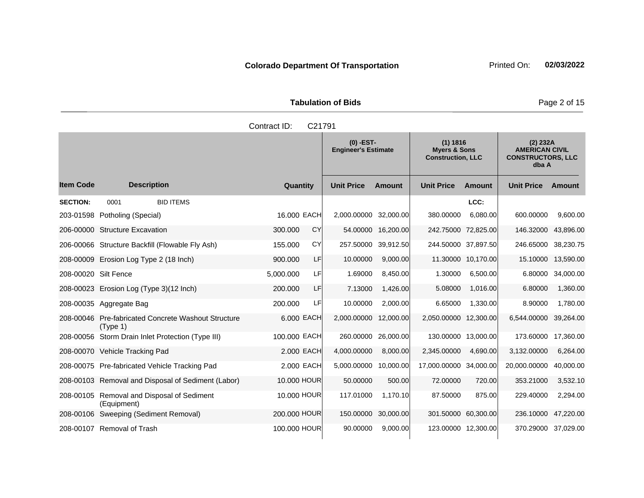**Tabulation of Bids** Page 2 of 15

|                      |                                                     | Contract ID: | C <sub>21791</sub> |                                           |                    |                                                                 |                     |                                                                        |           |
|----------------------|-----------------------------------------------------|--------------|--------------------|-------------------------------------------|--------------------|-----------------------------------------------------------------|---------------------|------------------------------------------------------------------------|-----------|
|                      |                                                     |              |                    | $(0)$ -EST-<br><b>Engineer's Estimate</b> |                    | (1) 1816<br><b>Myers &amp; Sons</b><br><b>Construction, LLC</b> |                     | (2) 232A<br><b>AMERICAN CIVIL</b><br><b>CONSTRUCTORS, LLC</b><br>dba A |           |
| ltem Code            | <b>Description</b>                                  | Quantity     |                    | <b>Unit Price</b>                         | <b>Amount</b>      | <b>Unit Price</b>                                               | <b>Amount</b>       | <b>Unit Price</b>                                                      | Amount    |
| <b>SECTION:</b>      | <b>BID ITEMS</b><br>0001                            |              |                    |                                           |                    |                                                                 | LCC:                |                                                                        |           |
|                      | 203-01598 Potholing (Special)                       | 16,000 EACH  |                    | 2,000.00000                               | 32,000.00          | 380.00000                                                       | 6,080.00            | 600.00000                                                              | 9,600.00  |
|                      | 206-00000 Structure Excavation                      | 300.000      | CY                 |                                           | 54.00000 16,200.00 |                                                                 | 242.75000 72,825.00 | 146.32000                                                              | 43,896.00 |
|                      | 206-00066 Structure Backfill (Flowable Fly Ash)     | 155.000      | CY                 | 257.50000                                 | 39,912.50          |                                                                 | 244.50000 37,897.50 | 246.65000                                                              | 38,230.75 |
|                      | 208-00009 Erosion Log Type 2 (18 Inch)              | 900,000      | LF                 | 10.00000                                  | 9,000.00           |                                                                 | 11.30000 10,170.00  | 15.10000                                                               | 13,590.00 |
| 208-00020 Silt Fence |                                                     | 5,000.000    | LF                 | 1.69000                                   | 8,450.00           | 1.30000                                                         | 6,500.00            | 6.80000                                                                | 34,000.00 |
|                      | 208-00023 Erosion Log (Type 3)(12 Inch)             | 200.000      | LF                 | 7.13000                                   | 1,426.00           | 5.08000                                                         | 1,016.00            | 6.80000                                                                | 1,360.00  |
|                      | 208-00035 Aggregate Bag                             | 200.000      | LF                 | 10.00000                                  | 2,000.00           | 6.65000                                                         | 1,330.00            | 8.90000                                                                | 1,780.00  |
|                      | 208-00046 Pre-fabricated Concrete Washout Structure | 6.000 EACH   |                    | 2,000.00000                               | 12,000.00          | 2,050.00000                                                     | 12,300.00           | 6,544.00000                                                            | 39,264.00 |

208-00056 Storm Drain Inlet Protection (Type III) 100.000 EACH 260.00000 26,000.00 130.00000 13,000.00 173.60000 17,360.00 208-00070 Vehicle Tracking Pad 2.000 EACH 4,000.00000 8,000.00 2,345.00000 4,690.00 3,132.00000 6,264.00 208-00075 Pre-fabricated Vehicle Tracking Pad 2.000 EACH 5,000.00000 10,000.00 17,000.00000 34,000.00 20,000.00000 40,000.00 208-00103 Removal and Disposal of Sediment (Labor) 10.000 HOUR 50.00000 500.00 72.00000 720.00 353.21000 3,532.10

208-00106 Sweeping (Sediment Removal) 200.000 HOUR 150.00000 30,000.00 301.50000 60,300.00 236.10000 47,220.00 208-00107 Removal of Trash 100.000 HOUR 90.00000 9,000.00 123.00000 12,300.00 370.29000 37,029.00

10.000 HOUR 117.01000 1,170.10 87.50000 875.00 229.40000 2,294.00

208-00105 Removal and Disposal of Sediment

(Equipment)

(Type 1)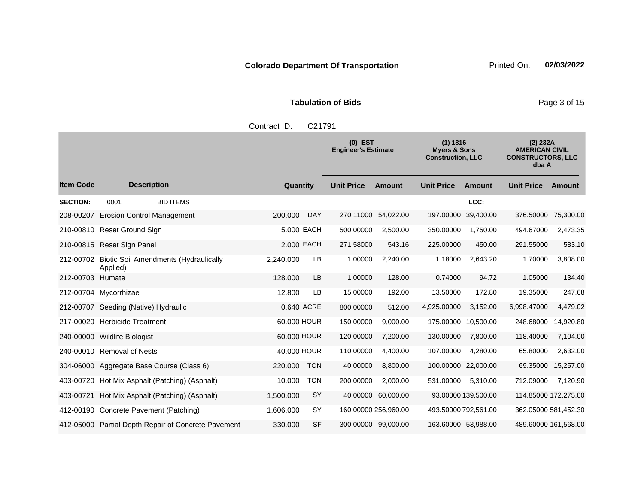**Tabulation of Bids Page 3 of 15** 

|                  |                                                          | Contract ID: | C <sub>21791</sub> |                                           |           |                                                                 |           |                                                                        |           |
|------------------|----------------------------------------------------------|--------------|--------------------|-------------------------------------------|-----------|-----------------------------------------------------------------|-----------|------------------------------------------------------------------------|-----------|
|                  |                                                          |              |                    | $(0)$ -EST-<br><b>Engineer's Estimate</b> |           | (1) 1816<br><b>Myers &amp; Sons</b><br><b>Construction, LLC</b> |           | (2) 232A<br><b>AMERICAN CIVIL</b><br><b>CONSTRUCTORS, LLC</b><br>dba A |           |
| ltem Code        | <b>Description</b>                                       | Quantity     |                    | <b>Unit Price</b>                         | Amount    | <b>Unit Price</b>                                               | Amount    | <b>Unit Price</b>                                                      | Amount    |
| <b>SECTION:</b>  | <b>BID ITEMS</b><br>0001                                 |              |                    |                                           |           |                                                                 | LCC:      |                                                                        |           |
| 208-00207        | <b>Erosion Control Management</b>                        | 200.000      | <b>DAY</b>         | 270.11000                                 | 54,022.00 | 197.00000                                                       | 39,400.00 | 376.50000                                                              | 75,300.00 |
|                  | 210-00810 Reset Ground Sign                              |              | 5,000 EACH         | 500.00000                                 | 2,500.00  | 350.00000                                                       | 1,750.00  | 494.67000                                                              | 2,473.35  |
|                  | 210-00815 Reset Sign Panel                               | 2,000 EACH   |                    | 271.58000                                 | 543.16    | 225.00000                                                       | 450.00    | 291.55000                                                              | 583.10    |
| 212-00702        | <b>Biotic Soil Amendments (Hydraulically</b><br>Applied) | 2,240.000    | LB                 | 1.00000                                   | 2,240.00  | 1.18000                                                         | 2,643.20  | 1.70000                                                                | 3,808.00  |
| 212-00703 Humate |                                                          | 128,000      | <b>LB</b>          | 1.00000                                   | 128.00    | 0.74000                                                         | 94.72     | 1.05000                                                                | 134.40    |
|                  | 212-00704 Mycorrhizae                                    | 12.800       | LB                 | 15.00000                                  | 192.00    | 13.50000                                                        | 172.80    | 19.35000                                                               | 247.68    |
|                  | 212-00707 Seeding (Native) Hydraulic                     |              | 0.640 ACRE         | 800.00000                                 | 512.00    | 4,925.00000                                                     | 3,152.00  | 6,998.47000                                                            | 4,479.02  |

|                  | 208-00207 Erosion Control Management                     | 200.000     | <b>DAY</b> |           | 270.11000 54,022.00  |             | 197.00000 39.400.00  | 376.50000            | 75,300.00 |
|------------------|----------------------------------------------------------|-------------|------------|-----------|----------------------|-------------|----------------------|----------------------|-----------|
|                  | 210-00810 Reset Ground Sign                              |             | 5,000 EACH | 500.00000 | 2,500.00             | 350.00000   | 1,750.00             | 494.67000            | 2,473.35  |
|                  | 210-00815 Reset Sign Panel                               |             | 2.000 EACH | 271.58000 | 543.16               | 225.00000   | 450.00               | 291.55000            | 583.10    |
| 212-00702        | <b>Biotic Soil Amendments (Hydraulically</b><br>Applied) | 2,240.000   | LB         | 1.00000   | 2,240.00             | 1.18000     | 2,643.20             | 1.70000              | 3,808.00  |
| 212-00703 Humate |                                                          | 128,000     | <b>LB</b>  | 1.00000   | 128.00               | 0.74000     | 94.72                | 1.05000              | 134.40    |
|                  | 212-00704 Mycorrhizae                                    | 12.800      | LB         | 15.00000  | 192.00               | 13.50000    | 172.80               | 19.35000             | 247.68    |
| 212-00707        | Seeding (Native) Hydraulic                               |             | 0.640 ACRE | 800.00000 | 512.00               | 4,925,00000 | 3.152.00             | 6,998.47000          | 4,479.02  |
|                  | 217-00020 Herbicide Treatment                            | 60,000 HOUR |            | 150.00000 | 9,000.00             | 175.00000   | 10,500.00            | 248.68000            | 14,920.80 |
|                  | 240-00000 Wildlife Biologist                             | 60,000 HOUR |            | 120.00000 | 7,200.00             | 130.00000   | 7,800.00             | 118.40000            | 7,104.00  |
|                  | 240-00010 Removal of Nests                               | 40,000 HOUR |            | 110.00000 | 4,400.00             | 107.00000   | 4,280.00             | 65.80000             | 2,632.00  |
|                  | 304-06000 Aggregate Base Course (Class 6)                | 220.000     | <b>TON</b> | 40.00000  | 8,800.00             |             | 100.00000 22,000.00  | 69.35000             | 15,257.00 |
|                  | 403-00720 Hot Mix Asphalt (Patching) (Asphalt)           | 10.000      | <b>TON</b> | 200.00000 | 2,000.00             | 531.00000   | 5,310.00             | 712.09000            | 7,120.90  |
| 403-00721        | Hot Mix Asphalt (Patching) (Asphalt)                     | 1,500.000   | SY         |           | 40.00000 60,000.00   |             | 93.00000 139,500.00  | 114.85000 172,275.00 |           |
|                  | 412-00190 Concrete Pavement (Patching)                   | 1,606.000   | SY         |           | 160.00000 256,960.00 |             | 493.50000 792,561.00 | 362.05000 581,452.30 |           |

412-05000 Partial Depth Repair of Concrete Pavement 330.000 SF 300.00000 99,000.00 163.60000 53,988.00 489.60000 161,568.00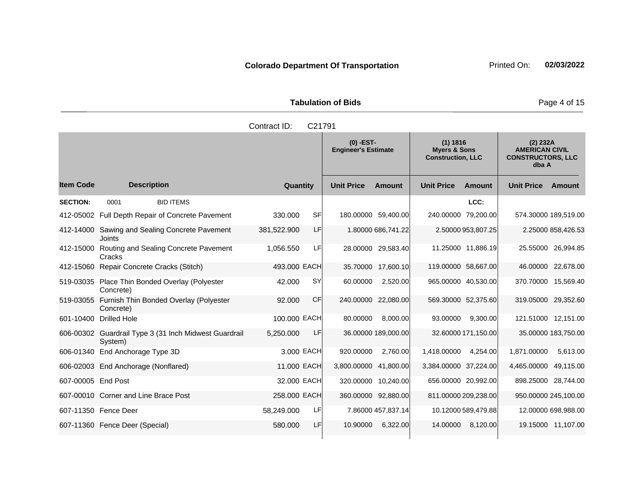**Tabulation of Bids** Page 4 of 15

|                  |                                                  | Contract ID:                              | C <sub>21791</sub>                                              |                                                                        |                             |
|------------------|--------------------------------------------------|-------------------------------------------|-----------------------------------------------------------------|------------------------------------------------------------------------|-----------------------------|
|                  |                                                  | $(0)$ -EST-<br><b>Engineer's Estimate</b> | (1) 1816<br><b>Myers &amp; Sons</b><br><b>Construction, LLC</b> | (2) 232A<br><b>AMERICAN CIVIL</b><br><b>CONSTRUCTORS, LLC</b><br>dba A |                             |
| <b>Item Code</b> | <b>Description</b>                               | Quantity                                  | <b>Unit Price</b><br>Amount                                     | <b>Unit Price</b><br>Amount                                            | <b>Unit Price</b><br>Amount |
| <b>SECTION:</b>  | 0001<br><b>BID ITEMS</b>                         |                                           |                                                                 | LCC:                                                                   |                             |
|                  | 412-05002 Full Depth Repair of Concrete Pavement | <b>SF</b><br>330.000                      | 180.00000<br>59,400.00                                          | 240.00000 79,200.00                                                    | 574.30000 189,519.00        |
| 412-14000        | Sawing and Sealing Concrete Pavement<br>Joints   | LF<br>381,522.900                         | 1.80000 686,741.22                                              | 2.50000 953,807.25                                                     | 2.25000 858,426.53          |
| 412-15000        | Routing and Sealing Concrete Pavement<br>Cracks  | LF<br>1,056.550                           | 29,583.40<br>28.00000                                           | 11,886.19<br>11.25000                                                  | 26,994.85<br>25.55000       |
| 412-15060        | Repair Concrete Cracks (Stitch)                  | 493.000 EACH                              | 17,600.10<br>35,70000                                           | 119.00000<br>58,667.00                                                 | 22,678.00<br>46.00000       |
|                  | 519-03035 Place Thin Bonded Overlay (Polyester   | <b>SY</b><br>42.000                       | 2,520.00<br>60.00000                                            | 965.00000<br>40,530.00                                                 | 15,569.40<br>370.70000      |

601-10400 Drilled Hole 100.000 EACH 80.00000 8,000.00 93.00000 9,300.00 121.51000 12,151.00

606-01340 End Anchorage Type 3D 3.000 EACH 920.00000 2,760.00 1,418.00000 4,254.00 1,871.00000 5,613.00 606-02003 End Anchorage (Nonflared) 11.000 EACH 3,800.00000 41,800.00 3,384.00000 37,224.00 4,465.00000 49,115.00 607-00005 End Post 32.000 EACH 320.00000 10,240.00 656.00000 20,992.00 898.25000 28,744.00 607-00010 Corner and Line Brace Post 258.000 EACH 360.00000 92,880.00 811.00000 209,238.00 950.00000 245,100.00 607-11350 Fence Deer 58,249.000 LF 7.86000 457,837.14 10.12000 589,479.88 12.00000 698,988.00 607-11360 Fence Deer (Special) 580.000 LF 10.90000 6,322.00 14.00000 8,120.00 19.15000 11,107.00

92.000 CF 240.00000 22,080.00 569.30000 52,375.60 319.05000 29,352.60

5,250.000 LF 36.00000 189,000.00 32.60000 171,150.00 35.00000 183,750.00

Concrete)

Concrete)

System)

519-03055 Furnish Thin Bonded Overlay (Polyester

606-00302 Guardrail Type 3 (31 Inch Midwest Guardrail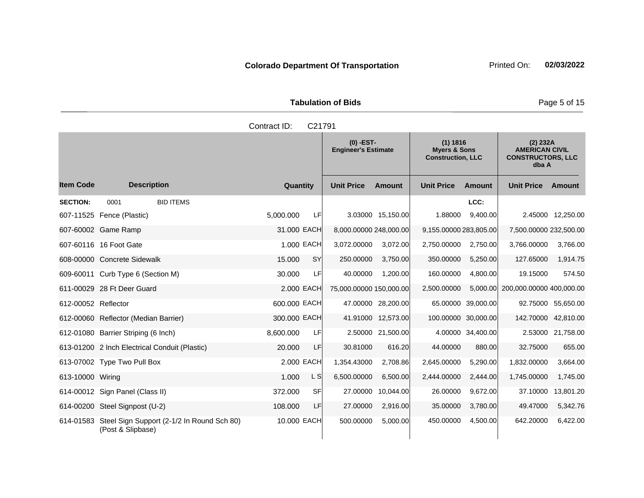| <b>Tabulation of Bids</b> |  |  |  |  |  |  |  |
|---------------------------|--|--|--|--|--|--|--|
| Contract $ID: C21791$     |  |  |  |  |  |  |  |

|                     |                                                                           |              |           | $(0)$ -EST-<br><b>Engineer's Estimate</b> |                    | (1) 1816<br><b>Myers &amp; Sons</b><br><b>Construction, LLC</b> |                     | (2) 232A<br><b>AMERICAN CIVIL</b><br><b>CONSTRUCTORS, LLC</b><br>dba A |                     |
|---------------------|---------------------------------------------------------------------------|--------------|-----------|-------------------------------------------|--------------------|-----------------------------------------------------------------|---------------------|------------------------------------------------------------------------|---------------------|
| <b>Item Code</b>    | <b>Description</b>                                                        | Quantity     |           | <b>Unit Price</b>                         | Amount             | <b>Unit Price</b>                                               | Amount              | <b>Unit Price</b>                                                      | Amount              |
| <b>SECTION:</b>     | <b>BID ITEMS</b><br>0001                                                  |              |           |                                           |                    |                                                                 | LCC:                |                                                                        |                     |
|                     | 607-11525 Fence (Plastic)                                                 | 5.000.000    | LF        |                                           | 3.03000 15,150.00  | 1.88000                                                         | 9.400.00            |                                                                        | 2.45000 12.250.00   |
|                     | 607-60002 Game Ramp                                                       | 31.000 EACH  |           | 8,000.00000 248,000.00                    |                    | 9,155.00000 283,805.00                                          |                     | 7,500.00000 232,500.00                                                 |                     |
|                     | 607-60116 16 Foot Gate                                                    | 1.000 EACH   |           | 3,072.00000                               | 3,072.00           | 2,750.00000                                                     | 2,750.00            | 3,766.00000                                                            | 3,766.00            |
|                     | 608-00000 Concrete Sidewalk                                               | 15.000       | <b>SY</b> | 250.00000                                 | 3,750.00           | 350.00000                                                       | 5,250.00            | 127.65000                                                              | 1,914.75            |
|                     | 609-60011 Curb Type 6 (Section M)                                         | 30.000       | <b>LF</b> | 40.00000                                  | 1,200.00           | 160.00000                                                       | 4,800.00            | 19.15000                                                               | 574.50              |
|                     | 611-00029 28 Ft Deer Guard                                                | 2.000 EACH   |           | 75,000.00000 150,000.00                   |                    | 2,500.00000                                                     | 5.000.00            | 200,000.00000 400,000.00                                               |                     |
| 612-00052 Reflector |                                                                           | 600.000 EACH |           |                                           | 47.00000 28,200.00 | 65.00000                                                        | 39,000.00           |                                                                        | 92.75000 55,650.00  |
|                     | 612-00060 Reflector (Median Barrier)                                      | 300.000 EACH |           |                                           | 41.91000 12,573.00 |                                                                 | 100.00000 30,000.00 |                                                                        | 142.70000 42,810.00 |
|                     | 612-01080 Barrier Striping (6 Inch)                                       | 8,600.000    | LF        |                                           | 2.50000 21,500.00  |                                                                 | 4.00000 34,400.00   |                                                                        | 2.53000 21,758.00   |
|                     | 613-01200 2 Inch Electrical Conduit (Plastic)                             | 20.000       | LF        | 30.81000                                  | 616.20             | 44.00000                                                        | 880.00              | 32.75000                                                               | 655.00              |
|                     | 613-07002 Type Two Pull Box                                               | 2.000 EACH   |           | 1,354.43000                               | 2,708.86           | 2,645.00000                                                     | 5,290.00            | 1,832.00000                                                            | 3,664.00            |
| 613-10000 Wiring    |                                                                           | 1.000        | L S       | 6,500.00000                               | 6,500.00           | 2,444.00000                                                     | 2,444.00            | 1,745.00000                                                            | 1,745.00            |
|                     | 614-00012 Sign Panel (Class II)                                           | 372,000      | <b>SF</b> | 27.00000                                  | 10,044.00          | 26.00000                                                        | 9,672.00            | 37.10000                                                               | 13,801.20           |
|                     | 614-00200 Steel Signpost (U-2)                                            | 108,000      | LF        | 27,00000                                  | 2,916.00           | 35.00000                                                        | 3.780.00            | 49.47000                                                               | 5,342.76            |
|                     | 614-01583 Steel Sign Support (2-1/2 In Round Sch 80)<br>(Post & Slipbase) | 10.000 EACH  |           | 500.00000                                 | 5,000.00           | 450.00000                                                       | 4,500.00            | 642.20000                                                              | 6,422.00            |

**Page 5 of 15**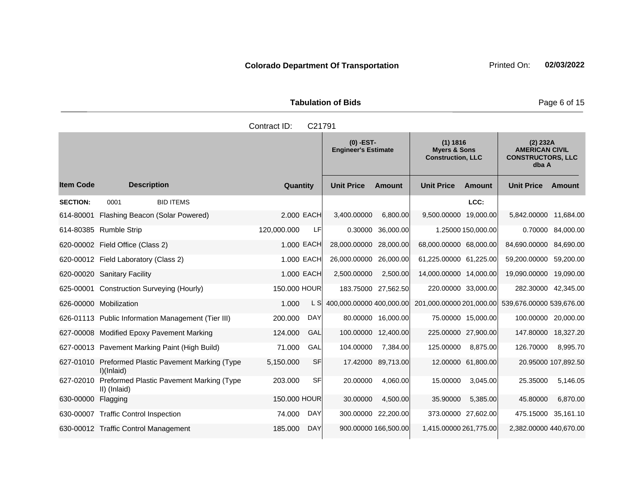| <b>Tabulation of Bids</b> |                     |  |  |  |  |  |  |
|---------------------------|---------------------|--|--|--|--|--|--|
|                           | Contract ID: C21791 |  |  |  |  |  |  |

|                    |                                                           |              |            | $(0)$ -EST-<br><b>Engineer's Estimate</b> |                      | (1) 1816<br><b>Myers &amp; Sons</b><br><b>Construction, LLC</b> |                     | (2) 232A<br><b>AMERICAN CIVIL</b><br><b>CONSTRUCTORS, LLC</b><br>dba A |                     |
|--------------------|-----------------------------------------------------------|--------------|------------|-------------------------------------------|----------------------|-----------------------------------------------------------------|---------------------|------------------------------------------------------------------------|---------------------|
| <b>Item Code</b>   | <b>Description</b>                                        | Quantity     |            | <b>Unit Price</b>                         | Amount               | <b>Unit Price</b>                                               | Amount              | <b>Unit Price</b>                                                      | Amount              |
| <b>SECTION:</b>    | <b>BID ITEMS</b><br>0001                                  |              |            |                                           |                      |                                                                 | LCC:                |                                                                        |                     |
| 614-80001          | Flashing Beacon (Solar Powered)                           | 2.000 EACH   |            | 3,400.00000                               | 6,800.00             | 9,500.00000 19,000.00                                           |                     | 5,842.00000 11,684.00                                                  |                     |
|                    | 614-80385 Rumble Strip                                    | 120,000.000  | LF         | 0.30000                                   | 36,000.00            |                                                                 | 1.25000 150,000.00  |                                                                        | 0.70000 84,000.00   |
|                    | 620-00002 Field Office (Class 2)                          | 1.000 EACH   |            | 28,000.00000                              | 28,000.00            | 68,000.00000 68,000.00                                          |                     | 84,690.00000                                                           | 84,690.00           |
|                    | 620-00012 Field Laboratory (Class 2)                      | 1.000 EACH   |            | 26,000.00000                              | 26,000.00            | 61,225.00000 61,225.00                                          |                     | 59,200.00000                                                           | 59,200.00           |
|                    | 620-00020 Sanitary Facility                               | 1.000 EACH   |            | 2,500.00000                               | 2,500.00             | 14,000.00000 14,000.00                                          |                     | 19,090.00000 19,090.00                                                 |                     |
|                    | 625-00001 Construction Surveying (Hourly)                 | 150.000 HOUR |            |                                           | 183.75000 27,562.50  |                                                                 | 220.00000 33,000.00 |                                                                        | 282.30000 42,345.00 |
|                    | 626-00000 Mobilization                                    | 1.000        | L SI       | 400,000.00000 400,000.00                  |                      | 201,000.00000 201,000.00                                        |                     | 539,676.00000 539,676.00                                               |                     |
|                    | 626-01113 Public Information Management (Tier III)        | 200.000      | <b>DAY</b> |                                           | 80.00000 16,000.00   |                                                                 | 75.00000 15,000.00  |                                                                        | 100.00000 20,000.00 |
|                    | 627-00008 Modified Epoxy Pavement Marking                 | 124.000      | GAL        | 100.00000                                 | 12,400.00            |                                                                 | 225.00000 27,900.00 | 147.80000 18,327.20                                                    |                     |
|                    | 627-00013 Pavement Marking Paint (High Build)             | 71.000       | GAL        | 104.00000                                 | 7,384.00             | 125.00000                                                       | 8,875.00            | 126.70000                                                              | 8,995.70            |
| 627-01010          | Preformed Plastic Pavement Marking (Type<br>$I$ )(Inlaid) | 5,150.000    | <b>SF</b>  | 17.42000                                  | 89,713.00            |                                                                 | 12.00000 61,800.00  |                                                                        | 20.95000 107,892.50 |
| 627-02010          | Preformed Plastic Pavement Marking (Type<br>II) (Inlaid)  | 203.000      | SF         | 20.00000                                  | 4.060.00             | 15.00000                                                        | 3.045.00            | 25.35000                                                               | 5.146.05            |
| 630-00000 Flagging |                                                           | 150.000 HOUR |            | 30.00000                                  | 4,500.00             | 35.90000                                                        | 5,385.00            | 45.80000                                                               | 6,870.00            |
|                    | 630-00007 Traffic Control Inspection                      | 74.000       | DAY        |                                           | 300.00000 22,200.00  |                                                                 | 373.00000 27,602.00 | 475.15000 35,161.10                                                    |                     |
|                    | 630-00012 Traffic Control Management                      | 185.000      | <b>DAY</b> |                                           | 900.00000 166,500.00 | 1,415.00000 261,775.00                                          |                     | 2,382.00000 440,670.00                                                 |                     |

Page 6 of 15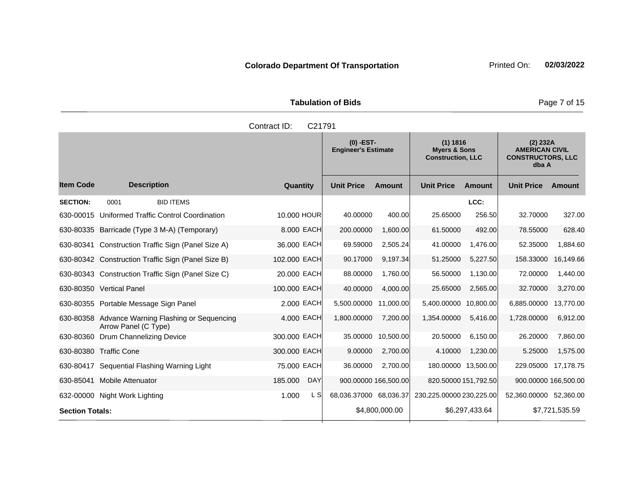|                     | <b>Tabulation of Bids</b>               |                                     |
|---------------------|-----------------------------------------|-------------------------------------|
| Contract ID: C21791 |                                         |                                     |
|                     | (0) -EST-<br><b>Engineer's Estimate</b> | (1) 1816<br><b>Myers &amp; Sons</b> |

|                        |                                                                          |                       | <b>Engineer's Estimate</b> |                | <b>Myers &amp; Sons</b><br><b>Construction, LLC</b> |                | <b>AMERICAN CIVIL</b><br><b>CONSTRUCTORS, LLC</b><br>dba A |                |
|------------------------|--------------------------------------------------------------------------|-----------------------|----------------------------|----------------|-----------------------------------------------------|----------------|------------------------------------------------------------|----------------|
| <b>Item Code</b>       | <b>Description</b>                                                       | Quantity              | <b>Unit Price</b>          | <b>Amount</b>  | <b>Unit Price</b>                                   | <b>Amount</b>  | <b>Unit Price</b>                                          | <b>Amount</b>  |
| <b>SECTION:</b>        | <b>BID ITEMS</b><br>0001                                                 |                       |                            |                |                                                     | LCC:           |                                                            |                |
| 630-00015              | Uniformed Traffic Control Coordination                                   | 10,000 HOUR           | 40.00000                   | 400.00         | 25.65000                                            | 256.50         | 32.70000                                                   | 327.00         |
|                        | 630-80335 Barricade (Type 3 M-A) (Temporary)                             | 8.000 EACH            | 200.00000                  | 1,600.00       | 61.50000                                            | 492.00         | 78.55000                                                   | 628.40         |
|                        | 630-80341 Construction Traffic Sign (Panel Size A)                       | 36,000 EACH           | 69.59000                   | 2,505.24       | 41.00000                                            | 1,476.00       | 52.35000                                                   | 1,884.60       |
|                        | 630-80342 Construction Traffic Sign (Panel Size B)                       | 102,000 EACH          | 90.17000                   | 9,197.34       | 51.25000                                            | 5,227.50       | 158.33000                                                  | 16,149.66      |
|                        | 630-80343 Construction Traffic Sign (Panel Size C)                       | 20.000 EACH           | 88.00000                   | 1,760.00       | 56.50000                                            | 1,130.00       | 72.00000                                                   | 1,440.00       |
|                        | 630-80350 Vertical Panel                                                 | 100.000 EACH          | 40.00000                   | 4,000.00       | 25.65000                                            | 2,565.00       | 32.70000                                                   | 3,270.00       |
|                        | 630-80355 Portable Message Sign Panel                                    | 2.000 EACH            | 5,500,00000                | 11,000.00      | 5,400.00000                                         | 10,800.00      | 6,885.00000                                                | 13,770.00      |
|                        | 630-80358 Advance Warning Flashing or Sequencing<br>Arrow Panel (C Type) | 4,000 EACH            | 1,800.00000                | 7,200.00       | 1,354.00000                                         | 5,416.00       | 1,728.00000                                                | 6,912.00       |
| 630-80360              | Drum Channelizing Device                                                 | 300.000 EACH          | 35.00000                   | 10,500.00      | 20.50000                                            | 6,150.00       | 26.20000                                                   | 7,860.00       |
|                        | 630-80380 Traffic Cone                                                   | 300.000 EACH          | 9.00000                    | 2,700.00       | 4.10000                                             | 1,230.00       | 5.25000                                                    | 1,575.00       |
|                        | 630-80417 Sequential Flashing Warning Light                              | 75.000 EACH           | 36.00000                   | 2,700.00       | 180.00000 13,500.00                                 |                | 229.05000                                                  | 17,178.75      |
| 630-85041              | <b>Mobile Attenuator</b>                                                 | <b>DAY</b><br>185.000 | 900.00000 166,500.00       |                | 820.50000 151,792.50                                |                | 900.00000 166,500.00                                       |                |
|                        | 632-00000 Night Work Lighting                                            | 1.000<br>L SI         | 68,036.37000 68,036.37     |                | 230,225.00000 230,225.00                            |                | 52,360.00000                                               | 52,360.00      |
| <b>Section Totals:</b> |                                                                          |                       |                            | \$4,800,000.00 |                                                     | \$6,297,433.64 |                                                            | \$7,721,535.59 |

**(2) 232A**

**Page 7 of 15**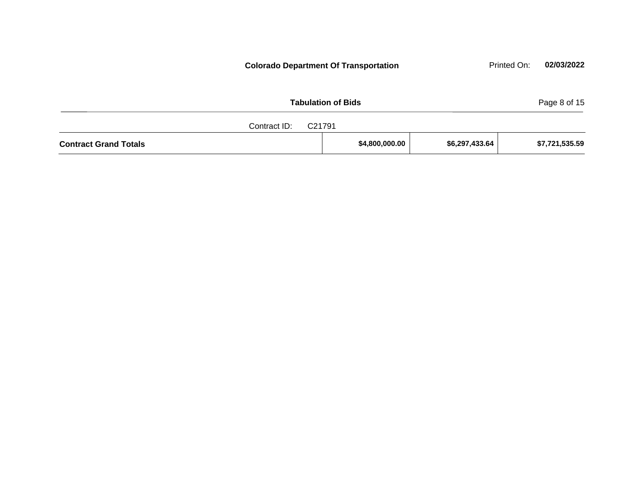| <b>Tabulation of Bids</b>    |                |                |                |  |  |  |  |  |
|------------------------------|----------------|----------------|----------------|--|--|--|--|--|
| Contract ID:<br>C21791       |                |                |                |  |  |  |  |  |
| <b>Contract Grand Totals</b> | \$4,800,000.00 | \$6,297,433.64 | \$7,721,535.59 |  |  |  |  |  |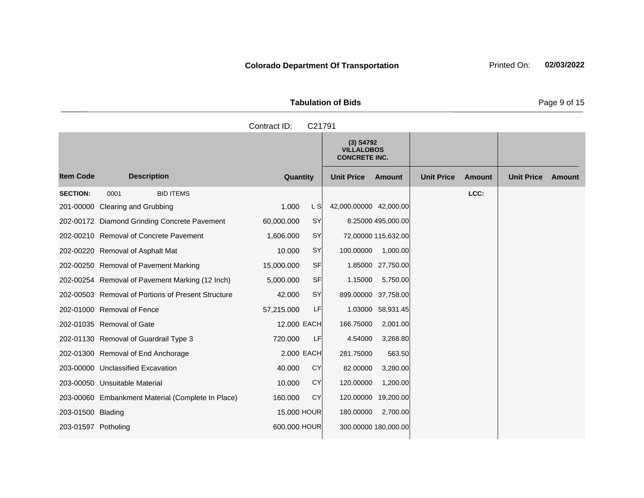|                  | <b>Tabulation of Bids</b><br>Contract ID:<br>C21791<br>$(3)$ S4792<br><b>VILLALOBOS</b><br><b>CONCRETE INC.</b> |                             |                             |                             |  |  |  |  |  |
|------------------|-----------------------------------------------------------------------------------------------------------------|-----------------------------|-----------------------------|-----------------------------|--|--|--|--|--|
|                  |                                                                                                                 |                             |                             |                             |  |  |  |  |  |
|                  |                                                                                                                 |                             |                             |                             |  |  |  |  |  |
| escription       | Quantity                                                                                                        | <b>Unit Price</b><br>Amount | <b>Unit Price</b><br>Amount | <b>Unit Price</b><br>Amount |  |  |  |  |  |
| <b>BID ITEMS</b> |                                                                                                                 |                             | LCC:                        |                             |  |  |  |  |  |

|                     |                                                    |              |           | $(3)$ S4792<br><b>VILLALOBOS</b><br><b>CONCRETE INC.</b> |                     |                   |               |                   |        |
|---------------------|----------------------------------------------------|--------------|-----------|----------------------------------------------------------|---------------------|-------------------|---------------|-------------------|--------|
| <b>Item Code</b>    | <b>Description</b>                                 | Quantity     |           | <b>Unit Price</b>                                        | <b>Amount</b>       | <b>Unit Price</b> | <b>Amount</b> | <b>Unit Price</b> | Amount |
| <b>SECTION:</b>     | <b>BID ITEMS</b><br>0001                           |              |           |                                                          |                     |                   | LCC:          |                   |        |
| 201-00000           | <b>Clearing and Grubbing</b>                       | 1.000        | L SI      | 42,000.00000 42,000.00                                   |                     |                   |               |                   |        |
|                     | 202-00172 Diamond Grinding Concrete Pavement       | 60,000.000   | <b>SY</b> |                                                          | 8.25000 495,000.00  |                   |               |                   |        |
|                     | 202-00210 Removal of Concrete Pavement             | 1,606.000    | <b>SY</b> |                                                          | 72.00000 115,632.00 |                   |               |                   |        |
|                     | 202-00220 Removal of Asphalt Mat                   | 10.000       | SY        | 100.00000                                                | 1,000.00            |                   |               |                   |        |
|                     | 202-00250 Removal of Pavement Marking              | 15,000.000   | <b>SF</b> |                                                          | 1.85000 27,750.00   |                   |               |                   |        |
|                     | 202-00254 Removal of Pavement Marking (12 Inch)    | 5,000.000    | <b>SF</b> | 1.15000                                                  | 5,750.00            |                   |               |                   |        |
|                     | 202-00503 Removal of Portions of Present Structure | 42.000       | SY        | 899.00000 37,758.00                                      |                     |                   |               |                   |        |
|                     | 202-01000 Removal of Fence                         | 57,215.000   | LF        |                                                          | 1.03000 58,931.45   |                   |               |                   |        |
|                     | 202-01035 Removal of Gate                          | 12,000 EACH  |           | 166.75000                                                | 2,001.00            |                   |               |                   |        |
|                     | 202-01130 Removal of Guardrail Type 3              | 720.000      | LF        | 4.54000                                                  | 3,268.80            |                   |               |                   |        |
|                     | 202-01300 Removal of End Anchorage                 | 2.000 EACH   |           | 281.75000                                                | 563.50              |                   |               |                   |        |
|                     | 203-00000 Unclassified Excavation                  | 40.000       | CY        | 82.00000                                                 | 3,280.00            |                   |               |                   |        |
|                     | 203-00050 Unsuitable Material                      | 10.000       | CY        | 120.00000                                                | 1,200.00            |                   |               |                   |        |
|                     | 203-00060 Embankment Material (Complete In Place)  | 160.000      | CY        | 120.00000                                                | 19,200.00           |                   |               |                   |        |
| 203-01500 Blading   |                                                    | 15,000 HOUR  |           | 180.00000                                                | 2,700.00            |                   |               |                   |        |
| 203-01597 Potholing |                                                    | 600,000 HOUR |           | 300.00000 180,000.00                                     |                     |                   |               |                   |        |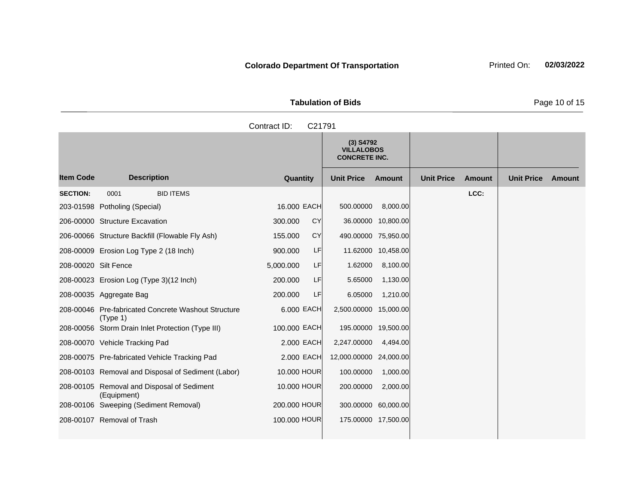**Tabulation of Bids** Page 10 of 15

**Quantity Unit Price Unit Price Item Code Amount Unit Price Amount Ext Ext Unit Price Amount Ext (3) S4792 VILLALOBOS CONCRETE INC. Description SECTION:** 0001 BID ITEMS **LCC:** 203-01598 Potholing (Special) 16.000 EACH 500.00000 8,000.00 206-00000 Structure Excavation 300.000 CY 36.00000 10,800.00 206-00066 Structure Backfill (Flowable Fly Ash) 155.000 CY 490.00000 75,950.00 208-00009 Erosion Log Type 2 (18 Inch) 900.000 LF 11.62000 10,458.00 208-00020 Silt Fence 5,000.000 LF 1.62000 8,100.00 208-00023 Erosion Log (Type 3)(12 Inch) 200.000 LF 5.65000 1,130.00 208-00035 Aggregate Bag 200.000 LF 6.05000 1,210.00 208-00046 Pre-fabricated Concrete Washout Structure (Type 1) 6.000 EACH 2,500.00000 15,000.00 208-00056 Storm Drain Inlet Protection (Type III) 100.000 EACH 195.00000 19,500.00 208-00070 Vehicle Tracking Pad 2.000 EACH 2,247.00000 4,494.00 208-00075 Pre-fabricated Vehicle Tracking Pad 2.000 EACH 12,000.00000 24,000.00 208-00103 Removal and Disposal of Sediment (Labor) 10.000 HOUR 100.00000 1,000.00 208-00105 Removal and Disposal of Sediment (Equipment) 10.000 HOUR 200.00000 2,000.00 208-00106 Sweeping (Sediment Removal) 200.000 HOUR 300.00000 60,000.00 208-00107 Removal of Trash 100.000 HOUR 175.00000 17,500.00 Contract ID: C21791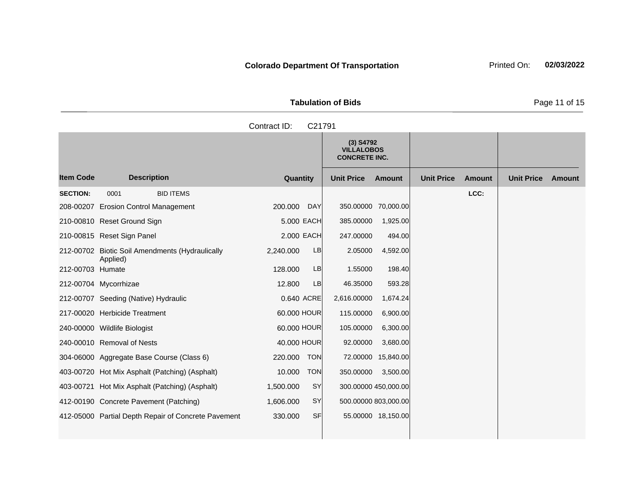**Tabulation of Bids Page 11 of 15** 

|                  |                                                     | Contract ID:<br>C21791 |                                                          |                    |                   |               |                   |        |
|------------------|-----------------------------------------------------|------------------------|----------------------------------------------------------|--------------------|-------------------|---------------|-------------------|--------|
|                  |                                                     |                        | $(3)$ S4792<br><b>VILLALOBOS</b><br><b>CONCRETE INC.</b> |                    |                   |               |                   |        |
| <b>Item Code</b> | <b>Description</b>                                  | Quantity               | <b>Unit Price</b>                                        | <b>Amount</b>      | <b>Unit Price</b> | <b>Amount</b> | <b>Unit Price</b> | Amount |
| <b>SECTION:</b>  | <b>BID ITEMS</b><br>0001                            |                        |                                                          |                    |                   | LCC:          |                   |        |
|                  | 208-00207 Erosion Control Management                | 200.000<br><b>DAY</b>  | 350.00000 70,000.00                                      |                    |                   |               |                   |        |
|                  | 210-00810 Reset Ground Sign                         | 5.000 EACH             | 385.00000                                                | 1,925.00           |                   |               |                   |        |
|                  | 210-00815 Reset Sign Panel                          | 2.000 EACH             | 247.00000                                                | 494.00             |                   |               |                   |        |
|                  | 212-00702 Biotic Soil Amendments (Hydraulically     | 2,240.000<br><b>LB</b> | 2.05000                                                  | 4,592.00           |                   |               |                   |        |
| 212-00703 Humate | Applied)                                            | 128.000<br>LB          | 1.55000                                                  | 198.40             |                   |               |                   |        |
|                  | 212-00704 Mycorrhizae                               | 12.800<br>LB           | 46.35000                                                 | 593.28             |                   |               |                   |        |
|                  | 212-00707 Seeding (Native) Hydraulic                | 0.640 ACRE             | 2,616.00000                                              | 1,674.24           |                   |               |                   |        |
|                  | 217-00020 Herbicide Treatment                       | 60.000 HOUR            | 115.00000                                                | 6,900.00           |                   |               |                   |        |
|                  | 240-00000 Wildlife Biologist                        | 60.000 HOUR            | 105.00000                                                | 6,300.00           |                   |               |                   |        |
|                  | 240-00010 Removal of Nests                          | 40.000 HOUR            | 92.00000                                                 | 3,680.00           |                   |               |                   |        |
|                  | 304-06000 Aggregate Base Course (Class 6)           | <b>TON</b><br>220.000  | 72.00000                                                 | 15,840.00          |                   |               |                   |        |
|                  | 403-00720 Hot Mix Asphalt (Patching) (Asphalt)      | 10.000<br><b>TON</b>   | 350.00000                                                | 3,500.00           |                   |               |                   |        |
|                  | 403-00721 Hot Mix Asphalt (Patching) (Asphalt)      | SY<br>1,500.000        | 300.00000 450,000.00                                     |                    |                   |               |                   |        |
|                  | 412-00190 Concrete Pavement (Patching)              | SY<br>1,606.000        | 500.00000 803,000.00                                     |                    |                   |               |                   |        |
|                  | 412-05000 Partial Depth Repair of Concrete Pavement | 330.000<br><b>SF</b>   |                                                          | 55.00000 18,150.00 |                   |               |                   |        |
|                  |                                                     |                        |                                                          |                    |                   |               |                   |        |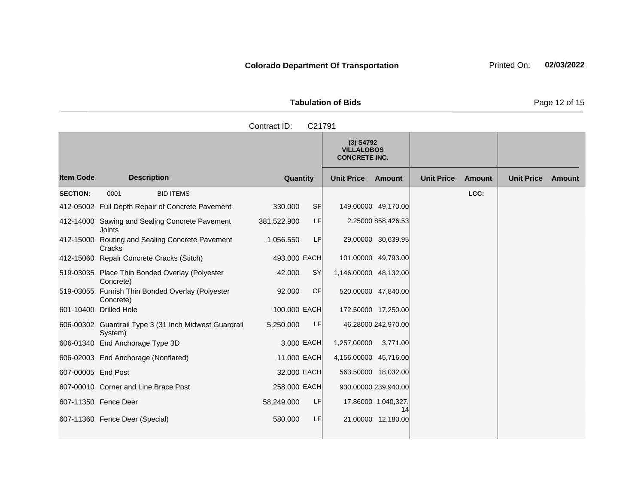| <b>Tabulation of Bids</b> | Page 12 of 15 |
|---------------------------|---------------|

|                    |                                                                  | Contract ID:<br>C21791 |                                                          |                             |                             |
|--------------------|------------------------------------------------------------------|------------------------|----------------------------------------------------------|-----------------------------|-----------------------------|
|                    |                                                                  |                        | $(3)$ S4792<br><b>VILLALOBOS</b><br><b>CONCRETE INC.</b> |                             |                             |
| <b>Item Code</b>   | <b>Description</b>                                               | Quantity               | <b>Unit Price</b><br><b>Amount</b>                       | <b>Unit Price</b><br>Amount | <b>Unit Price</b><br>Amount |
| <b>SECTION:</b>    | <b>BID ITEMS</b><br>0001                                         |                        |                                                          | LCC:                        |                             |
|                    | 412-05002 Full Depth Repair of Concrete Pavement                 | 330,000<br><b>SF</b>   | 149.00000 49,170.00                                      |                             |                             |
|                    | 412-14000 Sawing and Sealing Concrete Pavement<br>Joints         | LF<br>381,522.900      | 2.25000 858,426.53                                       |                             |                             |
|                    | 412-15000 Routing and Sealing Concrete Pavement<br>Cracks        | LF<br>1,056.550        | 29.00000 30,639.95                                       |                             |                             |
|                    | 412-15060 Repair Concrete Cracks (Stitch)                        | 493.000 EACH           | 101.00000 49,793.00                                      |                             |                             |
|                    | 519-03035 Place Thin Bonded Overlay (Polyester<br>Concrete)      | <b>SY</b><br>42.000    | 1,146.00000 48,132.00                                    |                             |                             |
|                    | 519-03055 Furnish Thin Bonded Overlay (Polyester<br>Concrete)    | 92.000<br><b>CF</b>    | 520.00000 47,840.00                                      |                             |                             |
|                    | 601-10400 Drilled Hole                                           | 100.000 EACH           | 172.50000 17,250.00                                      |                             |                             |
|                    | 606-00302 Guardrail Type 3 (31 Inch Midwest Guardrail<br>System) | LF<br>5,250.000        | 46.28000 242,970.00                                      |                             |                             |
|                    | 606-01340 End Anchorage Type 3D                                  | 3,000 EACH             | 1,257.00000<br>3,771.00                                  |                             |                             |
|                    | 606-02003 End Anchorage (Nonflared)                              | 11,000 EACH            | 4,156.00000 45,716.00                                    |                             |                             |
| 607-00005 End Post |                                                                  | 32,000 EACH            | 563.50000 18,032.00                                      |                             |                             |
|                    | 607-00010 Corner and Line Brace Post                             | 258.000 EACH           | 930.00000 239,940.00                                     |                             |                             |
|                    | 607-11350 Fence Deer                                             | 58,249.000<br>LF       | 17.86000 1,040,327.<br>14                                |                             |                             |
|                    | 607-11360 Fence Deer (Special)                                   | LF<br>580,000          | 21.00000 12,180.00                                       |                             |                             |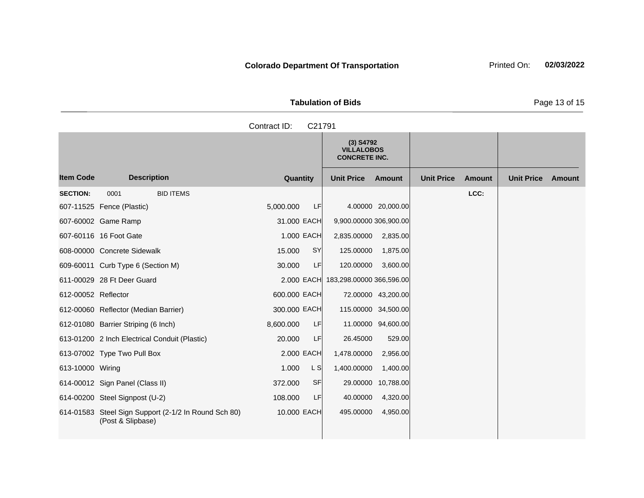|            |                  |           |    | <b>Tabulation of Bids</b>                                |                   |                   |        |                   | Page 13 of 15 |
|------------|------------------|-----------|----|----------------------------------------------------------|-------------------|-------------------|--------|-------------------|---------------|
|            |                  |           |    |                                                          |                   |                   |        |                   |               |
|            |                  |           |    | $(3)$ S4792<br><b>VILLALOBOS</b><br><b>CONCRETE INC.</b> |                   |                   |        |                   |               |
| escription |                  | Quantity  |    | <b>Unit Price</b>                                        | Amount            | <b>Unit Price</b> | Amount | <b>Unit Price</b> | Amount        |
|            | <b>BID ITEMS</b> |           |    |                                                          |                   |                   | LCC:   |                   |               |
| astic)     |                  | 5,000.000 | LF |                                                          | 4.00000 20,000.00 |                   |        |                   |               |

|                     |                                                                           |              |            | <b>VILLALOBOS</b><br><b>CONCRETE INC.</b> |                     |                   |               |                   |        |
|---------------------|---------------------------------------------------------------------------|--------------|------------|-------------------------------------------|---------------------|-------------------|---------------|-------------------|--------|
| <b>Item Code</b>    | <b>Description</b>                                                        | Quantity     |            | <b>Unit Price</b>                         | <b>Amount</b>       | <b>Unit Price</b> | <b>Amount</b> | <b>Unit Price</b> | Amount |
| <b>SECTION:</b>     | <b>BID ITEMS</b><br>0001                                                  |              |            |                                           |                     |                   | LCC:          |                   |        |
|                     | 607-11525 Fence (Plastic)                                                 | 5,000.000    | <b>LF</b>  |                                           | 4.00000 20,000.00   |                   |               |                   |        |
|                     | 607-60002 Game Ramp                                                       | 31.000 EACH  |            | 9,900.00000 306,900.00                    |                     |                   |               |                   |        |
|                     | 607-60116 16 Foot Gate                                                    |              | 1.000 EACH | 2,835.00000                               | 2,835.00            |                   |               |                   |        |
|                     | 608-00000 Concrete Sidewalk                                               | 15.000       | <b>SY</b>  | 125.00000                                 | 1,875.00            |                   |               |                   |        |
|                     | 609-60011 Curb Type 6 (Section M)                                         | 30.000       | LF         | 120.00000                                 | 3,600.00            |                   |               |                   |        |
|                     | 611-00029 28 Ft Deer Guard                                                |              | 2.000 EACH | 183,298.00000 366,596.00                  |                     |                   |               |                   |        |
| 612-00052 Reflector |                                                                           | 600.000 EACH |            |                                           | 72.00000 43,200.00  |                   |               |                   |        |
|                     | 612-00060 Reflector (Median Barrier)                                      | 300.000 EACH |            |                                           | 115.00000 34,500.00 |                   |               |                   |        |
|                     | 612-01080 Barrier Striping (6 Inch)                                       | 8,600.000    | LF         |                                           | 11.00000 94,600.00  |                   |               |                   |        |
|                     | 613-01200 2 Inch Electrical Conduit (Plastic)                             | 20.000       | LF         | 26.45000                                  | 529.00              |                   |               |                   |        |
|                     | 613-07002 Type Two Pull Box                                               | 2,000 EACH   |            | 1,478.00000                               | 2,956.00            |                   |               |                   |        |
| 613-10000 Wiring    |                                                                           | 1.000        | L S        | 1,400.00000                               | 1,400.00            |                   |               |                   |        |
|                     | 614-00012 Sign Panel (Class II)                                           | 372,000      | SF         | 29.00000                                  | 10,788.00           |                   |               |                   |        |
|                     | 614-00200 Steel Signpost (U-2)                                            | 108.000      | LF         | 40.00000                                  | 4,320.00            |                   |               |                   |        |
|                     | 614-01583 Steel Sign Support (2-1/2 In Round Sch 80)<br>(Post & Slipbase) | 10.000 EACH  |            | 495.00000                                 | 4,950.00            |                   |               |                   |        |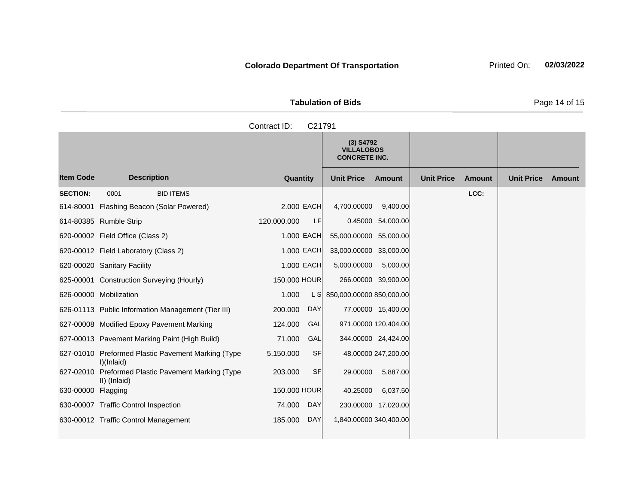| <b>Tabulation of Bids</b> |  |  |  |  |  |  |  |  |
|---------------------------|--|--|--|--|--|--|--|--|
| Contract ID: C21791       |  |  |  |  |  |  |  |  |
|                           |  |  |  |  |  |  |  |  |

|                    |                                                                    |                        | $(3)$ S4792<br><b>VILLALOBOS</b><br><b>CONCRETE INC.</b> |                     |                   |               |                   |        |
|--------------------|--------------------------------------------------------------------|------------------------|----------------------------------------------------------|---------------------|-------------------|---------------|-------------------|--------|
| <b>Item Code</b>   | <b>Description</b>                                                 | Quantity               | <b>Unit Price</b>                                        | <b>Amount</b>       | <b>Unit Price</b> | <b>Amount</b> | <b>Unit Price</b> | Amount |
| <b>SECTION:</b>    | 0001<br><b>BID ITEMS</b>                                           |                        |                                                          |                     |                   | LCC:          |                   |        |
|                    | 614-80001 Flashing Beacon (Solar Powered)                          | 2,000 EACH             | 4,700.00000                                              | 9,400.00            |                   |               |                   |        |
|                    | 614-80385 Rumble Strip                                             | LF<br>120,000.000      |                                                          | 0.45000 54,000.00   |                   |               |                   |        |
|                    | 620-00002 Field Office (Class 2)                                   | 1.000 EACH             | 55,000.00000 55,000.00                                   |                     |                   |               |                   |        |
|                    | 620-00012 Field Laboratory (Class 2)                               | 1.000 EACH             | 33,000.00000 33,000.00                                   |                     |                   |               |                   |        |
|                    | 620-00020 Sanitary Facility                                        | 1.000 EACH             | 5,000.00000                                              | 5,000.00            |                   |               |                   |        |
|                    | 625-00001 Construction Surveying (Hourly)                          | 150.000 HOUR           | 266.00000 39,900.00                                      |                     |                   |               |                   |        |
|                    | 626-00000 Mobilization                                             | 1.000                  | L S 850,000.00000 850,000.00                             |                     |                   |               |                   |        |
|                    | 626-01113 Public Information Management (Tier III)                 | 200.000<br><b>DAY</b>  |                                                          | 77.00000 15,400.00  |                   |               |                   |        |
|                    | 627-00008 Modified Epoxy Pavement Marking                          | GAL<br>124.000         | 971.00000 120,404.00                                     |                     |                   |               |                   |        |
|                    | 627-00013 Pavement Marking Paint (High Build)                      | 71.000<br>GAL          | 344.00000 24,424.00                                      |                     |                   |               |                   |        |
|                    | 627-01010 Preformed Plastic Pavement Marking (Type<br>I)(Inlaid)   | <b>SF</b><br>5,150.000 |                                                          | 48.00000 247,200.00 |                   |               |                   |        |
|                    | 627-02010 Preformed Plastic Pavement Marking (Type<br>II) (Inlaid) | <b>SF</b><br>203.000   | 29.00000                                                 | 5,887.00            |                   |               |                   |        |
| 630-00000 Flagging |                                                                    | 150.000 HOUR           | 40.25000                                                 | 6,037.50            |                   |               |                   |        |
|                    | 630-00007 Traffic Control Inspection                               | <b>DAY</b><br>74.000   | 230.00000 17,020.00                                      |                     |                   |               |                   |        |
|                    | 630-00012 Traffic Control Management                               | 185.000<br><b>DAY</b>  | 1,840.00000 340,400.00                                   |                     |                   |               |                   |        |

Page 14 of 15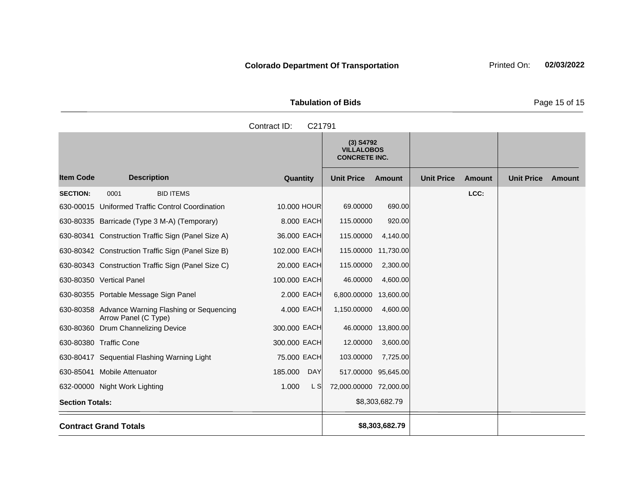**Tabulation of Bids** Page 15 of 15

**Quantity Unit Price Unit Price Item Code Amount Unit Price Amount Ext Ext Unit Price Amount Ext (3) S4792 VILLALOBOS CONCRETE INC. Description SECTION:** 0001 BID ITEMS **LCC:** 630-00015 Uniformed Traffic Control Coordination 10.000 HOUR 69.00000 690.00 630-80335 Barricade (Type 3 M-A) (Temporary) 8.000 EACH 115.00000 920.00 630-80341 Construction Traffic Sign (Panel Size A) 36.000 EACH 115.00000 4,140.00 630-80342 Construction Traffic Sign (Panel Size B) 102.000 EACH 115.00000 11,730.00 630-80343 Construction Traffic Sign (Panel Size C) 20.000 EACH 115.00000 2,300.00 630-80350 Vertical Panel 100.000 EACH 46.00000 4,600.00 630-80355 Portable Message Sign Panel 2.000 EACH 6,800.00000 13,600.00 630-80358 Advance Warning Flashing or Sequencing Arrow Panel (C Type) 4,000 EACH 1,150,00000 4,600.00 630-80360 Drum Channelizing Device 300.000 EACH 46.00000 13,800.00 630-80380 Traffic Cone 300.000 EACH 12.00000 3,600.00 630-80417 Sequential Flashing Warning Light 75.000 EACH 103.00000 7,725.00 630-85041 Mobile Attenuator 185.000 DAY 517.00000 95,645.00 632-00000 Night Work Lighting 1.000 L S 72,000.00000 72,000.00 **Section Totals:**  $$8,303,682.79$ **Contract Grand Totals \$8,303,682.79** Contract ID: C21791

**Colorado Department Of Transportation** Printed On: 02/03/2022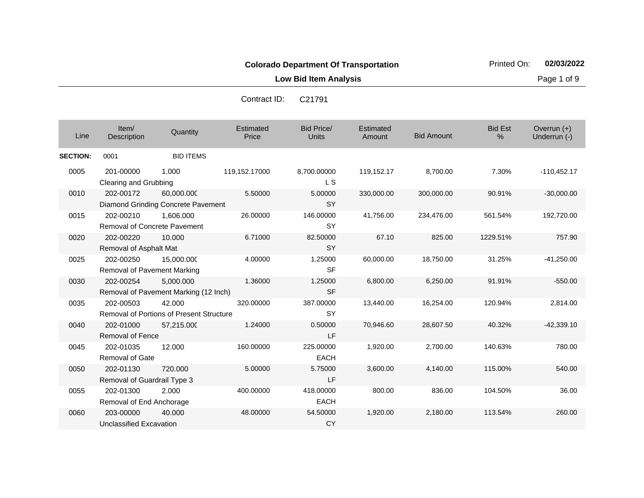**Low Bid Item Analysis Page 1 of 9** 

| Line            | Item/<br>Description                      | Quantity                                           | Estimated<br>Price | <b>Bid Price/</b><br><b>Units</b> | Estimated<br>Amount | <b>Bid Amount</b> | <b>Bid Est</b><br>% | Overrun (+)<br>Underrun (-) |
|-----------------|-------------------------------------------|----------------------------------------------------|--------------------|-----------------------------------|---------------------|-------------------|---------------------|-----------------------------|
| <b>SECTION:</b> | 0001                                      | <b>BID ITEMS</b>                                   |                    |                                   |                     |                   |                     |                             |
| 0005            | 201-00000<br>Clearing and Grubbing        | 1.000                                              | 119,152.17000      | 8,700.00000<br>L S                | 119,152.17          | 8,700.00          | 7.30%               | $-110,452.17$               |
| 0010            | 202-00172                                 | 60,000.000<br>Diamond Grinding Concrete Pavement   | 5.50000            | 5.00000<br><b>SY</b>              | 330,000.00          | 300,000.00        | 90.91%              | $-30,000.00$                |
| 0015            | 202-00210<br>Removal of Concrete Pavement | 1,606.000                                          | 26.00000           | 146.00000<br><b>SY</b>            | 41,756.00           | 234,476.00        | 561.54%             | 192,720.00                  |
| 0020            | 202-00220<br>Removal of Asphalt Mat       | 10.000                                             | 6.71000            | 82.50000<br><b>SY</b>             | 67.10               | 825.00            | 1229.51%            | 757.90                      |
| 0025            | 202-00250<br>Removal of Pavement Marking  | 15,000.000                                         | 4.00000            | 1.25000<br><b>SF</b>              | 60,000.00           | 18,750.00         | 31.25%              | $-41,250.00$                |
| 0030            | 202-00254                                 | 5,000.000<br>Removal of Pavement Marking (12 Inch) | 1.36000            | 1.25000<br><b>SF</b>              | 6,800.00            | 6,250.00          | 91.91%              | $-550.00$                   |
| 0035            | 202-00503                                 | 42.000<br>Removal of Portions of Present Structure | 320.00000          | 387.00000<br><b>SY</b>            | 13,440.00           | 16,254.00         | 120.94%             | 2,814.00                    |
| 0040            | 202-01000<br><b>Removal of Fence</b>      | 57,215.000                                         | 1.24000            | 0.50000<br>LF                     | 70,946.60           | 28,607.50         | 40.32%              | $-42,339.10$                |
| 0045            | 202-01035<br><b>Removal of Gate</b>       | 12.000                                             | 160.00000          | 225.00000<br><b>EACH</b>          | 1,920.00            | 2,700.00          | 140.63%             | 780.00                      |
| 0050            | 202-01130<br>Removal of Guardrail Type 3  | 720,000                                            | 5.00000            | 5.75000<br>LF                     | 3,600.00            | 4,140.00          | 115.00%             | 540.00                      |
| 0055            | 202-01300<br>Removal of End Anchorage     | 2.000                                              | 400.00000          | 418.00000<br><b>EACH</b>          | 800.00              | 836.00            | 104.50%             | 36.00                       |
| 0060            | 203-00000<br>Unclassified Excavation      | 40,000                                             | 48.00000           | 54.50000<br><b>CY</b>             | 1,920.00            | 2,180.00          | 113.54%             | 260.00                      |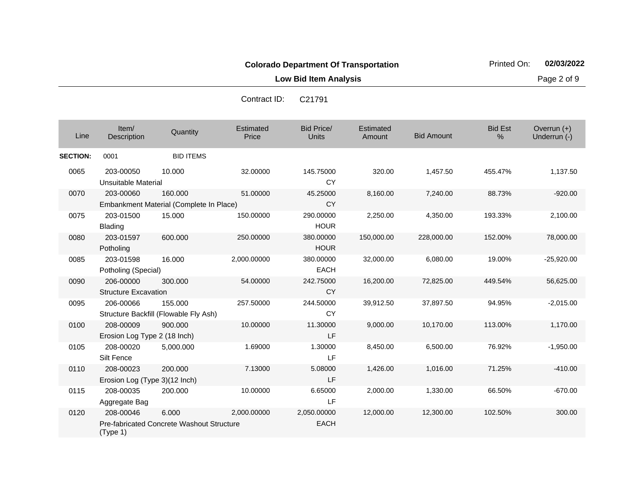**Low Bid Item Analysis Page 2 of 9** 

| Contract ID: | C <sub>21791</sub> |
|--------------|--------------------|

| Line            | Item/<br>Description                       | Quantity                                           | Estimated<br>Price | <b>Bid Price/</b><br>Units | Estimated<br>Amount | <b>Bid Amount</b> | <b>Bid Est</b><br>$\%$ | Overrun $(+)$<br>Underrun (-) |
|-----------------|--------------------------------------------|----------------------------------------------------|--------------------|----------------------------|---------------------|-------------------|------------------------|-------------------------------|
| <b>SECTION:</b> | 0001                                       | <b>BID ITEMS</b>                                   |                    |                            |                     |                   |                        |                               |
| 0065            | 203-00050<br>Unsuitable Material           | 10.000                                             | 32.00000           | 145.75000<br><b>CY</b>     | 320.00              | 1,457.50          | 455.47%                | 1,137.50                      |
| 0070            | 203-00060                                  | 160.000<br>Embankment Material (Complete In Place) | 51.00000           | 45.25000<br><b>CY</b>      | 8,160.00            | 7,240.00          | 88.73%                 | $-920.00$                     |
| 0075            | 203-01500<br><b>Blading</b>                | 15.000                                             | 150.00000          | 290.00000<br><b>HOUR</b>   | 2,250.00            | 4,350.00          | 193.33%                | 2,100.00                      |
| 0080            | 203-01597<br>Potholing                     | 600.000                                            | 250.00000          | 380.00000<br><b>HOUR</b>   | 150,000.00          | 228,000.00        | 152.00%                | 78,000.00                     |
| 0085            | 203-01598<br>Potholing (Special)           | 16.000                                             | 2,000.00000        | 380.00000<br><b>EACH</b>   | 32,000.00           | 6,080.00          | 19.00%                 | $-25,920.00$                  |
| 0090            | 206-00000<br><b>Structure Excavation</b>   | 300,000                                            | 54.00000           | 242.75000<br><b>CY</b>     | 16,200.00           | 72,825.00         | 449.54%                | 56,625.00                     |
| 0095            | 206-00066                                  | 155.000<br>Structure Backfill (Flowable Fly Ash)   | 257.50000          | 244.50000<br><b>CY</b>     | 39,912.50           | 37,897.50         | 94.95%                 | $-2,015.00$                   |
| 0100            | 208-00009<br>Erosion Log Type 2 (18 Inch)  | 900.000                                            | 10.00000           | 11.30000<br>LF             | 9,000.00            | 10,170.00         | 113.00%                | 1,170.00                      |
| 0105            | 208-00020<br>Silt Fence                    | 5,000.000                                          | 1.69000            | 1.30000<br>LF              | 8,450.00            | 6,500.00          | 76.92%                 | $-1,950.00$                   |
| 0110            | 208-00023<br>Erosion Log (Type 3)(12 Inch) | 200,000                                            | 7.13000            | 5.08000<br>LF              | 1,426.00            | 1,016.00          | 71.25%                 | $-410.00$                     |
| 0115            | 208-00035<br>Aggregate Bag                 | 200.000                                            | 10.00000           | 6.65000<br>LF              | 2,000.00            | 1,330.00          | 66.50%                 | $-670.00$                     |
| 0120            | 208-00046<br>(Type 1)                      | 6.000<br>Pre-fabricated Concrete Washout Structure | 2,000.00000        | 2,050.00000<br><b>EACH</b> | 12,000.00           | 12,300.00         | 102.50%                | 300.00                        |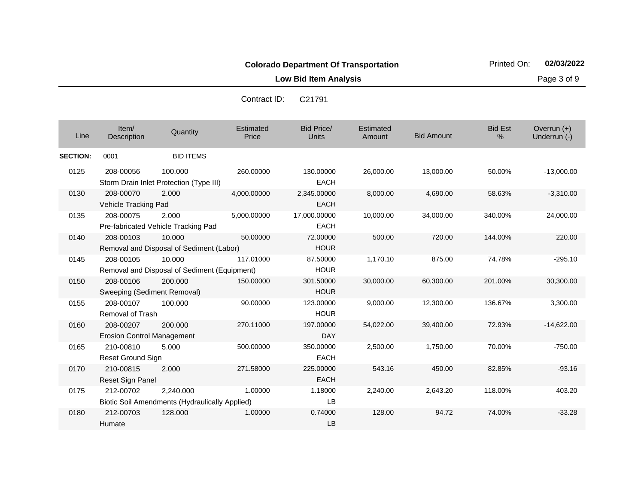**Low Bid Item Analysis Page 3 of 9** 

| Line            | Item/<br>Description                           | Quantity                                                           | Estimated<br>Price | <b>Bid Price/</b><br><b>Units</b> | Estimated<br>Amount | <b>Bid Amount</b> | <b>Bid Est</b><br>$\frac{0}{0}$ | Overrun $(+)$<br>Underrun (-) |
|-----------------|------------------------------------------------|--------------------------------------------------------------------|--------------------|-----------------------------------|---------------------|-------------------|---------------------------------|-------------------------------|
| <b>SECTION:</b> | 0001                                           | <b>BID ITEMS</b>                                                   |                    |                                   |                     |                   |                                 |                               |
| 0125            | 208-00056                                      | 100.000<br>Storm Drain Inlet Protection (Type III)                 | 260.00000          | 130.00000<br><b>EACH</b>          | 26,000.00           | 13,000.00         | 50.00%                          | $-13,000.00$                  |
| 0130            | 208-00070<br>Vehicle Tracking Pad              | 2.000                                                              | 4,000.00000        | 2,345.00000<br><b>EACH</b>        | 8,000.00            | 4,690.00          | 58.63%                          | $-3,310.00$                   |
| 0135            | 208-00075                                      | 2.000<br>Pre-fabricated Vehicle Tracking Pad                       | 5,000.00000        | 17,000.00000<br><b>EACH</b>       | 10,000.00           | 34,000.00         | 340.00%                         | 24,000.00                     |
| 0140            | 208-00103                                      | 10.000<br>Removal and Disposal of Sediment (Labor)                 | 50.00000           | 72.00000<br><b>HOUR</b>           | 500.00              | 720.00            | 144.00%                         | 220.00                        |
| 0145            | 208-00105                                      | 10.000<br>Removal and Disposal of Sediment (Equipment)             | 117.01000          | 87.50000<br><b>HOUR</b>           | 1,170.10            | 875.00            | 74.78%                          | $-295.10$                     |
| 0150            | 208-00106<br>Sweeping (Sediment Removal)       | 200,000                                                            | 150.00000          | 301.50000<br><b>HOUR</b>          | 30,000.00           | 60,300.00         | 201.00%                         | 30,300.00                     |
| 0155            | 208-00107<br>Removal of Trash                  | 100.000                                                            | 90.00000           | 123.00000<br><b>HOUR</b>          | 9.000.00            | 12,300.00         | 136.67%                         | 3,300.00                      |
| 0160            | 208-00207<br><b>Erosion Control Management</b> | 200,000                                                            | 270.11000          | 197.00000<br><b>DAY</b>           | 54,022.00           | 39,400.00         | 72.93%                          | $-14,622.00$                  |
| 0165            | 210-00810<br><b>Reset Ground Sign</b>          | 5.000                                                              | 500.00000          | 350.00000<br><b>EACH</b>          | 2,500.00            | 1,750.00          | 70.00%                          | $-750.00$                     |
| 0170            | 210-00815<br>Reset Sign Panel                  | 2.000                                                              | 271.58000          | 225.00000<br><b>EACH</b>          | 543.16              | 450.00            | 82.85%                          | $-93.16$                      |
| 0175            | 212-00702                                      | 2,240.000<br><b>Biotic Soil Amendments (Hydraulically Applied)</b> | 1.00000            | 1.18000<br>LB                     | 2,240.00            | 2,643.20          | 118.00%                         | 403.20                        |
| 0180            | 212-00703<br>Humate                            | 128.000                                                            | 1.00000            | 0.74000<br><b>LB</b>              | 128.00              | 94.72             | 74.00%                          | $-33.28$                      |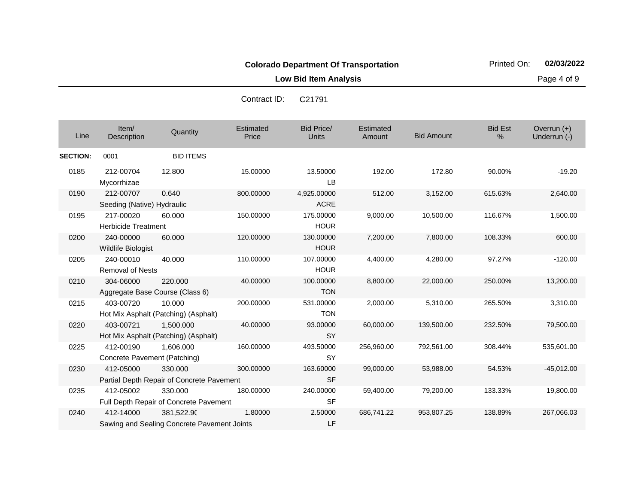**Low Bid Item Analysis Page 4 of 9** 

| Line            | Item/<br>Description                      | Quantity                                                  | Estimated<br>Price | <b>Bid Price/</b><br><b>Units</b> | Estimated<br>Amount | <b>Bid Amount</b> | <b>Bid Est</b><br>% | Overrun (+)<br>Underrun (-) |
|-----------------|-------------------------------------------|-----------------------------------------------------------|--------------------|-----------------------------------|---------------------|-------------------|---------------------|-----------------------------|
| <b>SECTION:</b> | 0001                                      | <b>BID ITEMS</b>                                          |                    |                                   |                     |                   |                     |                             |
| 0185            | 212-00704<br>Mycorrhizae                  | 12,800                                                    | 15.00000           | 13.50000<br><b>LB</b>             | 192.00              | 172.80            | 90.00%              | $-19.20$                    |
| 0190            | 212-00707                                 | 0.640                                                     | 800.00000          | 4,925.00000                       | 512.00              | 3,152.00          | 615.63%             | 2,640.00                    |
|                 | Seeding (Native) Hydraulic                |                                                           |                    | <b>ACRE</b>                       |                     |                   |                     |                             |
| 0195            | 217-00020<br><b>Herbicide Treatment</b>   | 60.000                                                    | 150.00000          | 175.00000<br><b>HOUR</b>          | 9,000.00            | 10,500.00         | 116.67%             | 1,500.00                    |
| 0200            | 240-00000<br>Wildlife Biologist           | 60.000                                                    | 120.00000          | 130.00000<br><b>HOUR</b>          | 7,200.00            | 7,800.00          | 108.33%             | 600.00                      |
| 0205            | 240-00010<br><b>Removal of Nests</b>      | 40.000                                                    | 110.00000          | 107.00000<br><b>HOUR</b>          | 4,400.00            | 4,280.00          | 97.27%              | $-120.00$                   |
| 0210            | 304-06000                                 | 220,000<br>Aggregate Base Course (Class 6)                | 40.00000           | 100.00000<br><b>TON</b>           | 8,800.00            | 22,000.00         | 250.00%             | 13,200.00                   |
| 0215            | 403-00720                                 | 10.000<br>Hot Mix Asphalt (Patching) (Asphalt)            | 200.00000          | 531.00000<br><b>TON</b>           | 2,000.00            | 5,310.00          | 265.50%             | 3,310.00                    |
| 0220            | 403-00721                                 | 1.500.000<br>Hot Mix Asphalt (Patching) (Asphalt)         | 40.00000           | 93.00000<br><b>SY</b>             | 60,000.00           | 139,500.00        | 232.50%             | 79,500.00                   |
| 0225            | 412-00190<br>Concrete Pavement (Patching) | 1.606.000                                                 | 160.00000          | 493.50000<br><b>SY</b>            | 256,960.00          | 792,561.00        | 308.44%             | 535,601.00                  |
| 0230            | 412-05000                                 | 330.000<br>Partial Depth Repair of Concrete Pavement      | 300.00000          | 163.60000<br><b>SF</b>            | 99,000.00           | 53,988.00         | 54.53%              | $-45,012.00$                |
| 0235            | 412-05002                                 | 330.000<br>Full Depth Repair of Concrete Pavement         | 180.00000          | 240.00000<br><b>SF</b>            | 59,400.00           | 79,200.00         | 133.33%             | 19,800.00                   |
| 0240            | 412-14000                                 | 381,522.90<br>Sawing and Sealing Concrete Pavement Joints | 1.80000            | 2.50000<br>LF                     | 686,741.22          | 953,807.25        | 138.89%             | 267,066.03                  |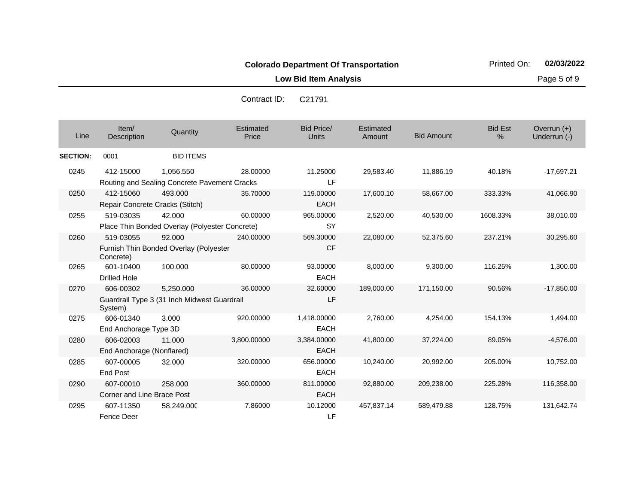| Line            | Item/<br>Description                         | Quantity                                                  | Estimated<br>Price | <b>Bid Price/</b><br>Units | Estimated<br>Amount | <b>Bid Amount</b> | <b>Bid Est</b><br>$\%$ | Overrun $(+)$<br>Underrun (-) |
|-----------------|----------------------------------------------|-----------------------------------------------------------|--------------------|----------------------------|---------------------|-------------------|------------------------|-------------------------------|
| <b>SECTION:</b> | 0001                                         | <b>BID ITEMS</b>                                          |                    |                            |                     |                   |                        |                               |
| 0245            | 412-15000                                    | 1,056.550<br>Routing and Sealing Concrete Pavement Cracks | 28.00000           | 11.25000<br><b>LF</b>      | 29,583.40           | 11,886.19         | 40.18%                 | $-17,697.21$                  |
| 0250            | 412-15060<br>Repair Concrete Cracks (Stitch) | 493,000                                                   | 35.70000           | 119.00000<br><b>EACH</b>   | 17,600.10           | 58,667.00         | 333.33%                | 41,066.90                     |
| 0255            | 519-03035                                    | 42.000<br>Place Thin Bonded Overlay (Polyester Concrete)  | 60.00000           | 965.00000<br><b>SY</b>     | 2,520.00            | 40,530.00         | 1608.33%               | 38,010.00                     |
| 0260            | 519-03055<br>Concrete)                       | 92,000<br>Furnish Thin Bonded Overlay (Polyester          | 240.00000          | 569.30000<br><b>CF</b>     | 22,080.00           | 52,375.60         | 237.21%                | 30,295.60                     |
| 0265            | 601-10400<br><b>Drilled Hole</b>             | 100.000                                                   | 80.00000           | 93.00000<br><b>EACH</b>    | 8,000.00            | 9,300.00          | 116.25%                | 1,300.00                      |
| 0270            | 606-00302<br>System)                         | 5,250.000<br>Guardrail Type 3 (31 Inch Midwest Guardrail  | 36.00000           | 32.60000<br>LF             | 189,000.00          | 171,150.00        | 90.56%                 | $-17,850.00$                  |
| 0275            | 606-01340<br>End Anchorage Type 3D           | 3.000                                                     | 920.00000          | 1,418.00000<br><b>EACH</b> | 2,760.00            | 4,254.00          | 154.13%                | 1,494.00                      |
| 0280            | 606-02003<br>End Anchorage (Nonflared)       | 11.000                                                    | 3,800.00000        | 3,384.00000<br><b>EACH</b> | 41,800.00           | 37,224.00         | 89.05%                 | $-4,576.00$                   |
| 0285            | 607-00005<br><b>End Post</b>                 | 32,000                                                    | 320.00000          | 656.00000<br><b>EACH</b>   | 10,240.00           | 20,992.00         | 205.00%                | 10,752.00                     |
| 0290            | 607-00010<br>Corner and Line Brace Post      | 258,000                                                   | 360.00000          | 811.00000<br><b>EACH</b>   | 92,880.00           | 209,238.00        | 225.28%                | 116,358.00                    |
| 0295            | 607-11350<br>Fence Deer                      | 58,249.000                                                | 7.86000            | 10.12000<br>LF             | 457,837.14          | 589,479.88        | 128.75%                | 131,642.74                    |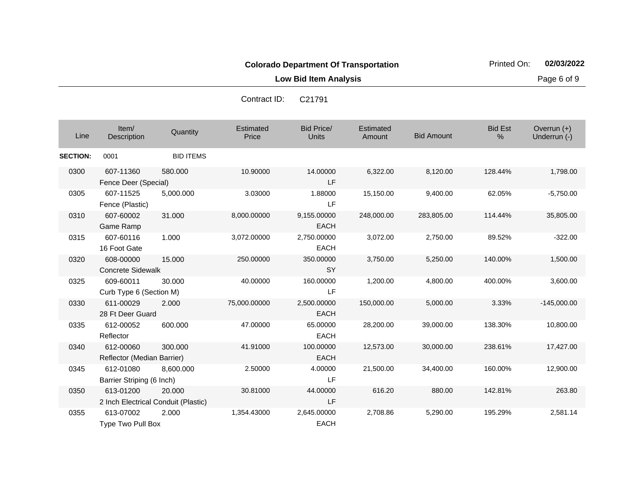**Low Bid Item Analysis Page 6 of 9** 

| Contract ID: | C <sub>21791</sub> |
|--------------|--------------------|
|              |                    |

| Line            | Item/<br>Description                             | Quantity         | Estimated<br>Price | <b>Bid Price/</b><br><b>Units</b> | Estimated<br>Amount | <b>Bid Amount</b> | <b>Bid Est</b><br>% | Overrun (+)<br>Underrun (-) |
|-----------------|--------------------------------------------------|------------------|--------------------|-----------------------------------|---------------------|-------------------|---------------------|-----------------------------|
| <b>SECTION:</b> | 0001                                             | <b>BID ITEMS</b> |                    |                                   |                     |                   |                     |                             |
| 0300            | 607-11360<br>Fence Deer (Special)                | 580.000          | 10.90000           | 14.00000<br>LF                    | 6,322.00            | 8,120.00          | 128.44%             | 1,798.00                    |
| 0305            | 607-11525<br>Fence (Plastic)                     | 5,000.000        | 3.03000            | 1.88000<br>LF                     | 15,150.00           | 9,400.00          | 62.05%              | $-5,750.00$                 |
| 0310            | 607-60002<br><b>Game Ramp</b>                    | 31.000           | 8,000.00000        | 9,155.00000<br><b>EACH</b>        | 248,000.00          | 283,805.00        | 114.44%             | 35,805.00                   |
| 0315            | 607-60116<br>16 Foot Gate                        | 1.000            | 3,072.00000        | 2,750.00000<br><b>EACH</b>        | 3,072.00            | 2,750.00          | 89.52%              | $-322.00$                   |
| 0320            | 608-00000<br><b>Concrete Sidewalk</b>            | 15.000           | 250.00000          | 350.00000<br><b>SY</b>            | 3,750.00            | 5,250.00          | 140.00%             | 1,500.00                    |
| 0325            | 609-60011<br>Curb Type 6 (Section M)             | 30.000           | 40.00000           | 160.00000<br>LF                   | 1,200.00            | 4,800.00          | 400.00%             | 3,600.00                    |
| 0330            | 611-00029<br>28 Ft Deer Guard                    | 2.000            | 75,000.00000       | 2,500.00000<br><b>EACH</b>        | 150,000.00          | 5,000.00          | 3.33%               | $-145,000.00$               |
| 0335            | 612-00052<br>Reflector                           | 600.000          | 47.00000           | 65.00000<br><b>EACH</b>           | 28,200.00           | 39,000.00         | 138.30%             | 10,800.00                   |
| 0340            | 612-00060<br>Reflector (Median Barrier)          | 300.000          | 41.91000           | 100.00000<br><b>EACH</b>          | 12,573.00           | 30,000.00         | 238.61%             | 17,427.00                   |
| 0345            | 612-01080<br>Barrier Striping (6 Inch)           | 8,600.000        | 2.50000            | 4.00000<br>LF                     | 21,500.00           | 34,400.00         | 160.00%             | 12,900.00                   |
| 0350            | 613-01200<br>2 Inch Electrical Conduit (Plastic) | 20.000           | 30.81000           | 44.00000<br>LF                    | 616.20              | 880.00            | 142.81%             | 263.80                      |
| 0355            | 613-07002<br>Type Two Pull Box                   | 2.000            | 1,354.43000        | 2,645.00000<br><b>EACH</b>        | 2,708.86            | 5,290.00          | 195.29%             | 2,581.14                    |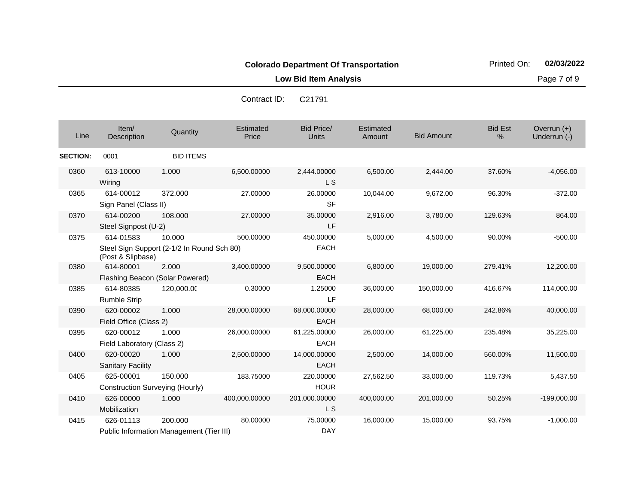**Low Bid Item Analysis Page 7 of 9** 

| Contract ID: | C <sub>21791</sub> |  |
|--------------|--------------------|--|
|              |                    |  |

| Line            | Item/<br><b>Description</b>                  | Quantity                                             | <b>Estimated</b><br>Price | <b>Bid Price/</b><br><b>Units</b> | Estimated<br>Amount | <b>Bid Amount</b> | <b>Bid Est</b><br>% | Overrun $(+)$<br>Underrun (-) |
|-----------------|----------------------------------------------|------------------------------------------------------|---------------------------|-----------------------------------|---------------------|-------------------|---------------------|-------------------------------|
| <b>SECTION:</b> | 0001                                         | <b>BID ITEMS</b>                                     |                           |                                   |                     |                   |                     |                               |
| 0360            | 613-10000<br>Wiring                          | 1.000                                                | 6,500.00000               | 2,444.00000<br>L S                | 6,500.00            | 2,444.00          | 37.60%              | $-4,056.00$                   |
| 0365            | 614-00012<br>Sign Panel (Class II)           | 372.000                                              | 27.00000                  | 26.00000<br><b>SF</b>             | 10,044.00           | 9,672.00          | 96.30%              | $-372.00$                     |
| 0370            | 614-00200<br>Steel Signpost (U-2)            | 108.000                                              | 27.00000                  | 35.00000<br>LF                    | 2,916.00            | 3,780.00          | 129.63%             | 864.00                        |
| 0375            | 614-01583<br>(Post & Slipbase)               | 10.000<br>Steel Sign Support (2-1/2 In Round Sch 80) | 500.00000                 | 450.00000<br><b>EACH</b>          | 5,000.00            | 4,500.00          | 90.00%              | $-500.00$                     |
| 0380            | 614-80001<br>Flashing Beacon (Solar Powered) | 2.000                                                | 3,400.00000               | 9,500.00000<br><b>EACH</b>        | 6,800.00            | 19,000.00         | 279.41%             | 12,200.00                     |
| 0385            | 614-80385<br><b>Rumble Strip</b>             | 120,000.00                                           | 0.30000                   | 1.25000<br>LF                     | 36,000.00           | 150,000.00        | 416.67%             | 114,000.00                    |
| 0390            | 620-00002<br>Field Office (Class 2)          | 1.000                                                | 28,000.00000              | 68,000.00000<br><b>EACH</b>       | 28,000.00           | 68,000.00         | 242.86%             | 40,000.00                     |
| 0395            | 620-00012<br>Field Laboratory (Class 2)      | 1.000                                                | 26,000.00000              | 61,225.00000<br><b>EACH</b>       | 26,000.00           | 61,225.00         | 235.48%             | 35,225.00                     |
| 0400            | 620-00020<br><b>Sanitary Facility</b>        | 1.000                                                | 2,500.00000               | 14,000.00000<br>EACH              | 2,500.00            | 14,000.00         | 560.00%             | 11,500.00                     |
| 0405            | 625-00001<br>Construction Surveying (Hourly) | 150.000                                              | 183.75000                 | 220.00000<br><b>HOUR</b>          | 27,562.50           | 33,000.00         | 119.73%             | 5,437.50                      |
| 0410            | 626-00000<br>Mobilization                    | 1.000                                                | 400,000.00000             | 201,000.00000<br>L S              | 400,000.00          | 201,000.00        | 50.25%              | $-199,000.00$                 |
| 0415            | 626-01113                                    | 200.000<br>Public Information Management (Tier III)  | 80.00000                  | 75.00000<br><b>DAY</b>            | 16,000.00           | 15,000.00         | 93.75%              | $-1,000.00$                   |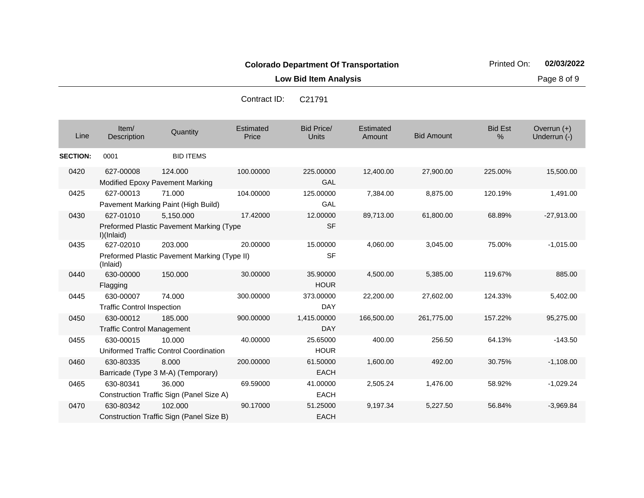**Low Bid Item Analysis Page 8 of 9** 

Co

| ontract ID: | C <sub>21791</sub> |  |
|-------------|--------------------|--|
|             |                    |  |

| Line            | Item/<br>Description                                                                         | Quantity                                                | <b>Estimated</b><br>Price | <b>Bid Price/</b><br><b>Units</b> | Estimated<br>Amount | <b>Bid Amount</b> | <b>Bid Est</b><br>% | Overrun $(+)$<br>Underrun (-) |
|-----------------|----------------------------------------------------------------------------------------------|---------------------------------------------------------|---------------------------|-----------------------------------|---------------------|-------------------|---------------------|-------------------------------|
| <b>SECTION:</b> | 0001                                                                                         | <b>BID ITEMS</b>                                        |                           |                                   |                     |                   |                     |                               |
| 0420            | 627-00008                                                                                    | 124.000<br><b>Modified Epoxy Pavement Marking</b>       | 100.00000                 | 225.00000<br><b>GAL</b>           | 12,400.00           | 27,900.00         | 225.00%             | 15,500.00                     |
| 0425            | 627-00013                                                                                    | 71.000<br>Pavement Marking Paint (High Build)           | 104.00000                 | 125.00000<br>GAL                  | 7,384.00            | 8,875.00          | 120.19%             | 1,491.00                      |
| 0430            | 627-01010<br>5,150.000<br>17.42000<br>Preformed Plastic Pavement Marking (Type<br>I)(Inlaid) |                                                         |                           | 12.00000<br><b>SF</b>             | 89,713.00           | 61,800.00         | 68.89%              | $-27,913.00$                  |
| 0435            | 627-02010<br>(Inlaid)                                                                        | 203.000<br>Preformed Plastic Pavement Marking (Type II) | 20,00000                  | 15.00000<br><b>SF</b>             | 4,060.00            | 3,045.00          | 75.00%              | $-1,015.00$                   |
| 0440            | 630-00000<br>Flagging                                                                        | 150.000                                                 | 30.00000                  | 35.90000<br><b>HOUR</b>           | 4,500.00            | 5,385.00          | 119.67%             | 885.00                        |
| 0445            | 630-00007<br><b>Traffic Control Inspection</b>                                               | 74.000                                                  | 300.00000                 | 373.00000<br><b>DAY</b>           | 22,200.00           | 27,602.00         | 124.33%             | 5,402.00                      |
| 0450            | 630-00012<br><b>Traffic Control Management</b>                                               | 185.000                                                 | 900.00000                 | 1,415.00000<br><b>DAY</b>         | 166,500.00          | 261,775.00        | 157.22%             | 95,275.00                     |
| 0455            | 630-00015                                                                                    | 10.000<br>Uniformed Traffic Control Coordination        | 40.00000                  | 25.65000<br><b>HOUR</b>           | 400.00              | 256.50            | 64.13%              | $-143.50$                     |
| 0460            | 630-80335                                                                                    | 8.000<br>Barricade (Type 3 M-A) (Temporary)             | 200.00000                 | 61.50000<br><b>EACH</b>           | 1,600.00            | 492.00            | 30.75%              | $-1,108.00$                   |
| 0465            | 630-80341                                                                                    | 36,000<br>Construction Traffic Sign (Panel Size A)      | 69.59000                  | 41.00000<br><b>EACH</b>           | 2,505.24            | 1,476.00          | 58.92%              | $-1,029.24$                   |
| 0470            | 630-80342                                                                                    | 102.000<br>Construction Traffic Sign (Panel Size B)     | 90.17000                  | 51.25000<br><b>EACH</b>           | 9,197.34            | 5,227.50          | 56.84%              | $-3.969.84$                   |